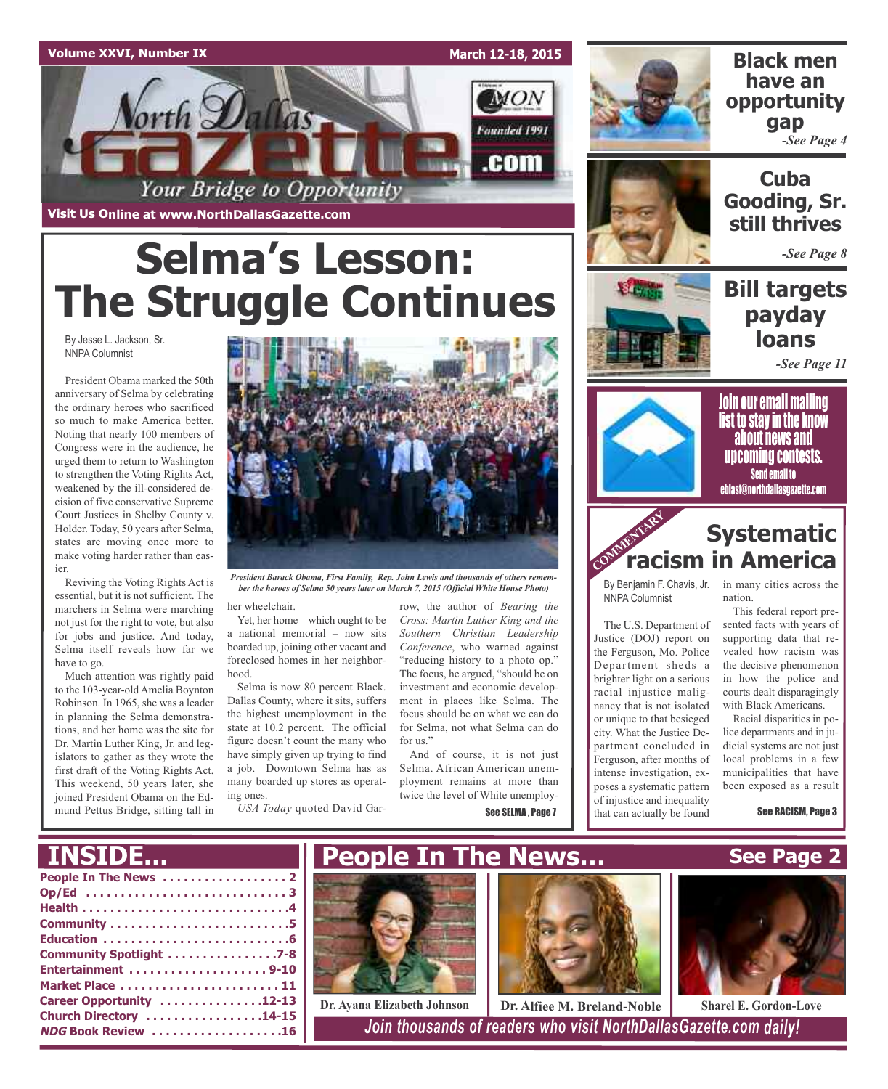

**March 12-18, 2015**

**MON** 

Founded 1991

.com



**Black men have an opportunity gap** *-See Page 4*

**Visit Us Online at www.NorthDallasGazette.com**

orth **Dal** 

# **Selma's Lesson: The Struggle Continues**

Your Bridge to Opportunity

By Jesse L. Jackson, Sr. NNPA Columnist

President Obama marked the 50th anniversary of Selma by celebrating the ordinary heroes who sacrificed so much to make America better. Noting that nearly 100 members of Congress were in the audience, he urged them to return to Washington to strengthen the Voting Rights Act, weakened by the ill-considered decision of five conservative Supreme Court Justices in Shelby County v. Holder. Today, 50 years after Selma, states are moving once more to make voting harder rather than easier.

Reviving the Voting Rights Act is essential, but it is not sufficient. The marchers in Selma were marching not just for the right to vote, but also for jobs and justice. And today, Selma itself reveals how far we have to go.

Much attention was rightly paid to the 103-year-old Amelia Boynton Robinson. In 1965, she was a leader in planning the Selma demonstrations, and her home was the site for Dr. Martin Luther King, Jr. and legislators to gather as they wrote the first draft of the Voting Rights Act. This weekend, 50 years later, she joined President Obama on the Edmund Pettus Bridge, sitting tall in



*President Barack Obama, First Family, Rep. John Lewis and thousands of others remember the heroes of Selma 50 years later on March 7, 2015 (Official White House Photo)*

her wheelchair.

Yet, her home – which ought to be a national memorial – now sits boarded up, joining other vacant and foreclosed homes in her neighborhood.

Selma is now 80 percent Black. Dallas County, where it sits, suffers the highest unemployment in the state at 10.2 percent. The official figure doesn't count the many who have simply given up trying to find a job. Downtown Selma has as many boarded up stores as operating ones.

*USA Today* quoted David Gar-

row, the author of *Bearing the Cross: Martin Luther King and the Southern Christian Leadership Conference*, who warned against "reducing history to a photo op." The focus, he argued, "should be on investment and economic development in places like Selma. The focus should be on what we can do for Selma, not what Selma can do for us"

And of course, it is not just Selma. African American unemployment remains at more than twice the level of White unemploy-

See SELMA , Page 7



### **Cuba Gooding, Sr. still thrives**

*-See Page 8*

### **Bill targets payday loans**

*-See Page 11*



Join our email mailing list to stay in the know about news and upcoming contests. Send email to eblast@northdallasgazette.com

## **COMMENTARY racism in America Systematic**

By Benjamin F. Chavis, Jr. NNPA Columnist

The U.S. Department of Justice (DOJ) report on the Ferguson, Mo. Police Department sheds a brighter light on a serious racial injustice malignancy that is not isolated or unique to that besieged city. What the Justice Department concluded in Ferguson, after months of intense investigation, exposes a systematic pattern of injustice and inequality that can actually be found

in many cities across the nation.

This federal report presented facts with years of supporting data that revealed how racism was the decisive phenomenon in how the police and courts dealt disparagingly with Black Americans.

Racial disparities in police departments and in judicial systems are not just local problems in a few municipalities that have been exposed as a result

See RACISM, Page 3

**See Page 2**

# **INSIDE...**

| Community Spotlight 7-8  |  |
|--------------------------|--|
| Entertainment 9-10       |  |
| Market Place  11         |  |
| Career Opportunity 12-13 |  |
| Church Directory 14-15   |  |
| NDG Book Review 16       |  |





**Dr.** Ayana Elizabeth Johnson Dr. Alfiee M. Breland-Noble Sharel E. Gordon-Love

**NDG Book Review . . . . . . . . . . . . . . . . . . .16** *Join thousands of readers who visit NorthDallasGazette.com daily!*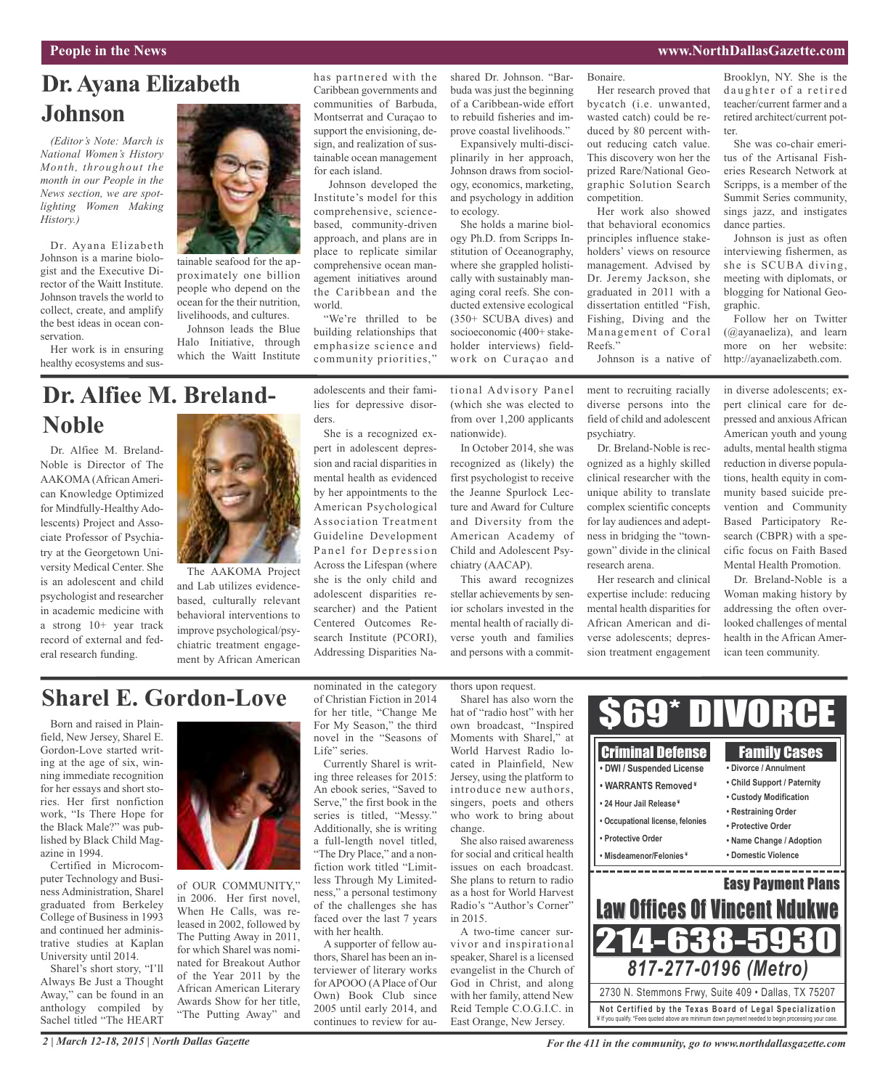### **Dr. Ayana Elizabeth Johnson**

*(Editor's Note: March is National Women's History Month, throughout the month in our People in the News section, we are spotlighting Women Making History.)*

Dr. Ayana Elizabeth Johnson is a marine biologist and the Executive Director of the Waitt Institute. Johnson travels the world to collect, create, and amplify the best ideas in ocean conservation.

Her work is in ensuring healthy ecosystems and sus-

Dr. Alfiee M. Breland-Noble is Director of The AAKOMA (African American Knowledge Optimized for Mindfully-Healthy Adolescents) Project and Associate Professor of Psychiatry at the Georgetown University Medical Center. She is an adolescent and child psychologist and researcher in academic medicine with a strong 10+ year track record of external and fed-

**Noble**



tainable seafood for the approximately one billion people who depend on the ocean for the their nutrition, livelihoods, and cultures.

Johnson leads the Blue Halo Initiative, through which the Waitt Institute

#### has partnered with the Caribbean governments and communities of Barbuda, Montserrat and Curaçao to support the envisioning, design, and realization of sustainable ocean management for each island.

Johnson developed the Institute's model for this comprehensive, sciencebased, community-driven approach, and plans are in place to replicate similar comprehensive ocean management initiatives around the Caribbean and the world.

"We're thrilled to be building relationships that emphasize science and community priorities,"

adolescents and their families for depressive disor-

She is a recognized expert in adolescent depression and racial disparities in mental health as evidenced by her appointments to the American Psychological Association Treatment Guideline Development Panel for Depression Across the Lifespan (where she is the only child and adolescent disparities researcher) and the Patient Centered Outcomes Research Institute (PCORI), Addressing Disparities Na-

ders.

shared Dr. Johnson. "Barbuda was just the beginning of a Caribbean-wide effort to rebuild fisheries and improve coastal livelihoods."

Bonaire.

competition.

Reefs."

Her research proved that bycatch (i.e. unwanted, wasted catch) could be reduced by 80 percent without reducing catch value. This discovery won her the prized Rare/National Geographic Solution Search

Her work also showed that behavioral economics principles influence stakeholders' views on resource management. Advised by Dr. Jeremy Jackson, she graduated in 2011 with a dissertation entitled "Fish, Fishing, Diving and the Management of Coral

Expansively multi-disciplinarily in her approach, Johnson draws from sociology, economics, marketing, and psychology in addition to ecology.

She holds a marine biology Ph.D. from Scripps Institution of Oceanography, where she grappled holistically with sustainably managing coral reefs. She conducted extensive ecological (350+ SCUBA dives) and socioeconomic (400+ stakeholder interviews) fieldwork on Curaçao and

tional Advisory Panel (which she was elected to from over 1,200 applicants nationwide).

In October 2014, she was recognized as (likely) the first psychologist to receive the Jeanne Spurlock Lecture and Award for Culture and Diversity from the American Academy of Child and Adolescent Psychiatry (AACAP).

This award recognizes stellar achievements by senior scholars invested in the mental health of racially diverse youth and families and persons with a commitment to recruiting racially diverse persons into the field of child and adolescent psychiatry.

Johnson is a native of

Dr. Breland-Noble is recognized as a highly skilled clinical researcher with the unique ability to translate complex scientific concepts for lay audiences and adeptness in bridging the "towngown" divide in the clinical research arena.

Her research and clinical expertise include: reducing mental health disparities for African American and diverse adolescents; depression treatment engagement

Brooklyn, NY. She is the daughter of a retired teacher/current farmer and a retired architect/current potter.

She was co-chair emeritus of the Artisanal Fisheries Research Network at Scripps, is a member of the Summit Series community, sings jazz, and instigates dance parties.

Johnson is just as often interviewing fishermen, as she is SCUBA diving, meeting with diplomats, or blogging for National Geographic.

Follow her on Twitter (@ayanaeliza), and learn more on her website: http://ayanaelizabeth.com.

in diverse adolescents; expert clinical care for depressed and anxious African American youth and young adults, mental health stigma reduction in diverse populations, health equity in community based suicide prevention and Community Based Participatory Research (CBPR) with a specific focus on Faith Based Mental Health Promotion.

Dr. Breland-Noble is a Woman making history by addressing the often overlooked challenges of mental health in the African American teen community.

## eral research funding.

**Dr. Alfiee M. Breland-**

**Sharel E. Gordon-Love**

Born and raised in Plainfield, New Jersey, Sharel E. Gordon-Love started writing at the age of six, winning immediate recognition for her essays and short stories. Her first nonfiction work, "Is There Hope for the Black Male?" was published by Black Child Magazine in 1994.

Certified in Microcomputer Technology and Business Administration, Sharel graduated from Berkeley College of Business in 1993 and continued her administrative studies at Kaplan University until 2014.

Sharel's short story, "I'll Always Be Just a Thought Away," can be found in an anthology compiled by Sachel titled "The HEART



of OUR COMMUNITY," in 2006. Her first novel, When He Calls, was released in 2002, followed by The Putting Away in 2011, for which Sharel was nominated for Breakout Author of the Year 2011 by the African American Literary Awards Show for her title, "The Putting Away" and nominated in the category of Christian Fiction in 2014 for her title, "Change Me For My Season," the third novel in the "Seasons of Life" series.

Currently Sharel is writing three releases for 2015: An ebook series, "Saved to Serve," the first book in the series is titled, "Messy." Additionally, she is writing a full-length novel titled, "The Dry Place," and a nonfiction work titled "Limitless Through My Limitedness," a personal testimony of the challenges she has faced over the last 7 years with her health.

A supporter of fellow authors, Sharel has been an interviewer of literary works for APOOO (A Place of Our Own) Book Club since 2005 until early 2014, and continues to review for authors upon request. Sharel has also worn the

hat of "radio host" with her own broadcast, "Inspired Moments with Sharel," at World Harvest Radio located in Plainfield, New Jersey, using the platform to introduce new authors, singers, poets and others who work to bring about change.

She also raised awareness for social and critical health issues on each broadcast. She plans to return to radio as a host for World Harvest Radio's "Author's Corner" in 2015.

A two-time cancer survivor and inspirational speaker, Sharel is a licensed evangelist in the Church of God in Christ, and along with her family, attend New Reid Temple C.O.G.I.C. in East Orange, New Jersey.



*For the 411 in the community, go to www.northdallasgazette.com*

*2 | March 12-18, 2015 | North Dallas Gazette*

The AAKOMA Project

and Lab utilizes evidencebased, culturally relevant behavioral interventions to improve psychological/psychiatric treatment engagement by African American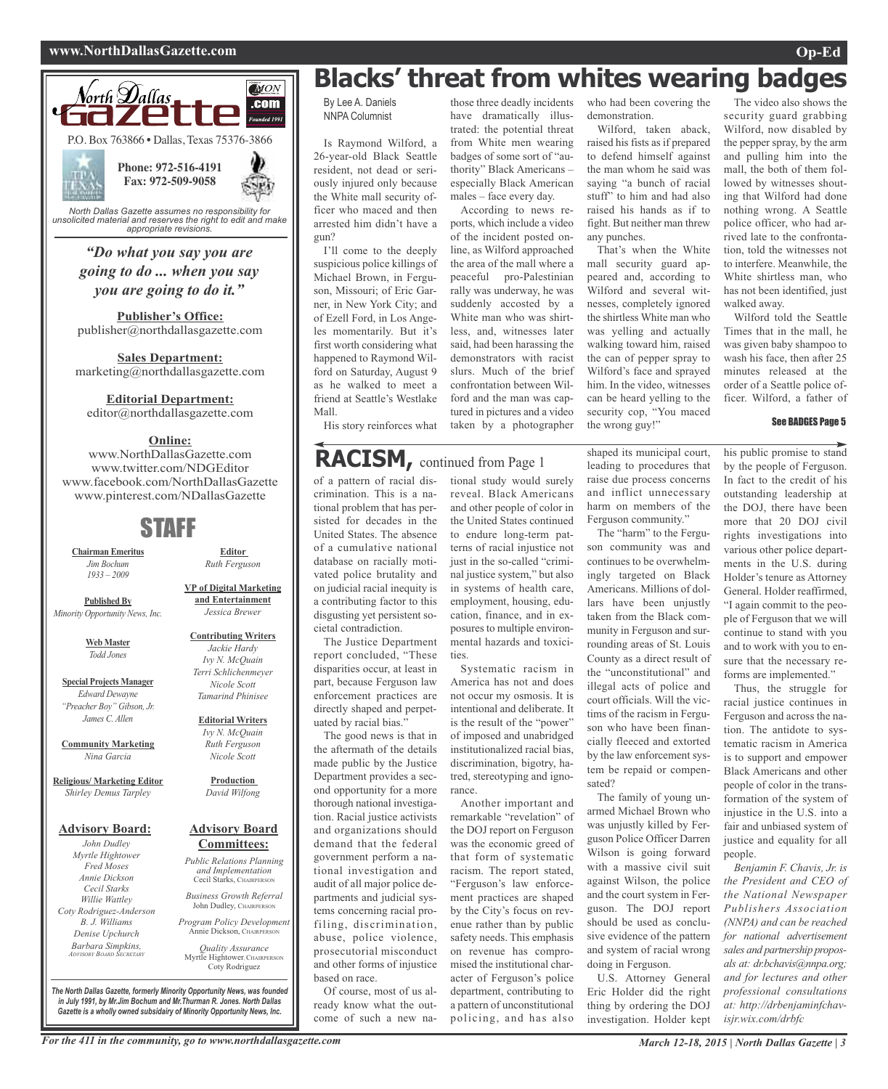#### **www.NorthDallasGazette.com Op-Ed**



*unsolicited material and reserves the right to edit and make appropriate revisions.*

### *"Do what you say you are going to do ... when you say you are going to do it."*

**Publisher's Office:** publisher@northdallasgazette.com

**Sales Department:** marketing@northdallasgazette.com

#### **Editorial Department:**

editor@northdallasgazette.com

### **Online:**

www.NorthDallasGazette.com www.twitter.com/NDGEditor www.facebook.com/NorthDallasGazette www.pinterest.com/NDallasGazette

### STAFF

**Chairman Emeritus** *Jim Bochum 1933 – 2009*

**Published By** *Minority Opportunity News, Inc.*

> **Web Master** *Todd Jones*

**Special Projects Manager** *Edward Dewayne "Preacher Boy" Gibson, Jr. James C. Allen*

**Community Marketing** *Nina Garcia*

**Religious/ Marketing Editor** *Shirley Demus Tarpley*

#### **Advisory Board:**

*John Dudley Myrtle Hightower Fred Moses Annie Dickson Cecil Starks Willie Wattley Coty Rodriguez-Anderson B. J. Williams Denise Upchurch Barbara Simpkins, ADVISORY BOARD SECRETARY*

*Ruth Ferguson Nicole Scott* **Production** *David Wilfong*

### **Committees:**

*Public Relations Planning and Implementation* Cecil Starks, CHAIRPERSON

John Dudley, CHAIRPERSON

*Quality Assurance* Myrtle Hightower, CHAIRPERSON

*The North Dallas Gazette, formerly Minority Opportunity News, was founded in July 1991, by Mr.Jim Bochum and Mr.Thurman R. Jones. North Dallas Gazette is a wholly owned subsidairy of Minority Opportunity News, Inc.*

## **Blacks' threat from whites wearing badges**

By Lee A. Daniels NNPA Columnist

Is Raymond Wilford, a 26-year-old Black Seattle resident, not dead or seriously injured only because the White mall security officer who maced and then arrested him didn't have a gun?

I'll come to the deeply suspicious police killings of Michael Brown, in Ferguson, Missouri; of Eric Garner, in New York City; and of Ezell Ford, in Los Angeles momentarily. But it's first worth considering what happened to Raymond Wilford on Saturday, August 9 as he walked to meet a friend at Seattle's Westlake Mall.

His story reinforces what

## RACISM, continued from Page 1

ties.

rance.

of a pattern of racial discrimination. This is a national problem that has persisted for decades in the United States. The absence of a cumulative national database on racially motivated police brutality and on judicial racial inequity is a contributing factor to this disgusting yet persistent societal contradiction.

The Justice Department report concluded, "These disparities occur, at least in part, because Ferguson law enforcement practices are directly shaped and perpetuated by racial bias."

The good news is that in the aftermath of the details made public by the Justice Department provides a second opportunity for a more thorough national investigation. Racial justice activists and organizations should demand that the federal government perform a national investigation and audit of all major police departments and judicial systems concerning racial profiling, discrimination, abuse, police violence, prosecutorial misconduct and other forms of injustice based on race.

Of course, most of us already know what the outcome of such a new na-

those three deadly incidents have dramatically illustrated: the potential threat from White men wearing badges of some sort of "authority" Black Americans – especially Black American males – face every day.

According to news reports, which include a video of the incident posted online, as Wilford approached the area of the mall where a peaceful pro-Palestinian rally was underway, he was suddenly accosted by a White man who was shirtless, and, witnesses later said, had been harassing the demonstrators with racist slurs. Much of the brief confrontation between Wilford and the man was captured in pictures and a video taken by a photographer

tional study would surely reveal. Black Americans and other people of color in the United States continued to endure long-term patterns of racial injustice not just in the so-called "criminal justice system," but also in systems of health care, employment, housing, education, finance, and in exposures to multiple environmental hazards and toxici-

Systematic racism in America has not and does not occur my osmosis. It is intentional and deliberate. It is the result of the "power" of imposed and unabridged institutionalized racial bias, discrimination, bigotry, hatred, stereotyping and igno-

Another important and remarkable "revelation" of the DOJ report on Ferguson was the economic greed of that form of systematic racism. The report stated, "Ferguson's law enforcement practices are shaped by the City's focus on revenue rather than by public safety needs. This emphasis on revenue has compromised the institutional character of Ferguson's police department, contributing to a pattern of unconstitutional policing, and has also

who had been covering the demonstration.

Wilford, taken aback, raised his fists as if prepared to defend himself against the man whom he said was saying "a bunch of racial stuff" to him and had also raised his hands as if to fight. But neither man threw any punches.

That's when the White mall security guard appeared and, according to Wilford and several witnesses, completely ignored the shirtless White man who was yelling and actually walking toward him, raised the can of pepper spray to Wilford's face and sprayed him. In the video, witnesses can be heard yelling to the security cop, "You maced the wrong guy!"

shaped its municipal court, leading to procedures that raise due process concerns and inflict unnecessary harm on members of the Ferguson community."

The "harm" to the Ferguson community was and continues to be overwhelmingly targeted on Black Americans. Millions of dollars have been unjustly taken from the Black community in Ferguson and surrounding areas of St. Louis County as a direct result of the "unconstitutional" and illegal acts of police and court officials. Will the victims of the racism in Ferguson who have been financially fleeced and extorted by the law enforcement system be repaid or compensated?

The family of young unarmed Michael Brown who was unjustly killed by Ferguson Police Officer Darren Wilson is going forward with a massive civil suit against Wilson, the police and the court system in Ferguson. The DOJ report should be used as conclusive evidence of the pattern and system of racial wrong doing in Ferguson.

U.S. Attorney General Eric Holder did the right thing by ordering the DOJ investigation. Holder kept

The video also shows the security guard grabbing Wilford, now disabled by the pepper spray, by the arm and pulling him into the mall, the both of them followed by witnesses shouting that Wilford had done nothing wrong. A Seattle police officer, who had arrived late to the confrontation, told the witnesses not to interfere. Meanwhile, the White shirtless man, who has not been identified, just walked away.

Wilford told the Seattle Times that in the mall, he was given baby shampoo to wash his face, then after 25 minutes released at the order of a Seattle police officer. Wilford, a father of

#### See BADGES Page 5

his public promise to stand by the people of Ferguson. In fact to the credit of his outstanding leadership at the DOJ, there have been more that 20 DOJ civil rights investigations into various other police departments in the U.S. during General. Holder reaffirmed, "I again commit to the people of Ferguson that we will continue to stand with you and to work with you to ensure that the necessary re-

racial justice continues in Ferguson and across the nation. The antidote to systematic racism in America is to support and empower Black Americans and other people of color in the transformation of the system of injustice in the U.S. into a fair and unbiased system of justice and equality for all people.

*Benjamin F. Chavis, Jr. is the President and CEO of the National Newspaper Publishers Association (NNPA) and can be reached for national advertisement sales and partnership proposals at: dr.bchavis@nnpa.org; and for lectures and other professional consultations at: http://drbenjaminfchavisjr.wix.com/drbfc*



**VP of Digital Marketing and Entertainment** *Jessica Brewer*

**Contributing Writers** *Jackie Hardy Ivy N. McQuain Terri Schlichenmeyer Nicole Scott Tamarind Phinisee*

### **Editorial Writers** *Ivy N. McQuain*

### **Advisory Board**

*Business Growth Referral*

*Program Policy Development* Annie Dickson, CHAIRPER

Coty Rodriguez

Holder's tenure as Attorney forms are implemented." Thus, the struggle for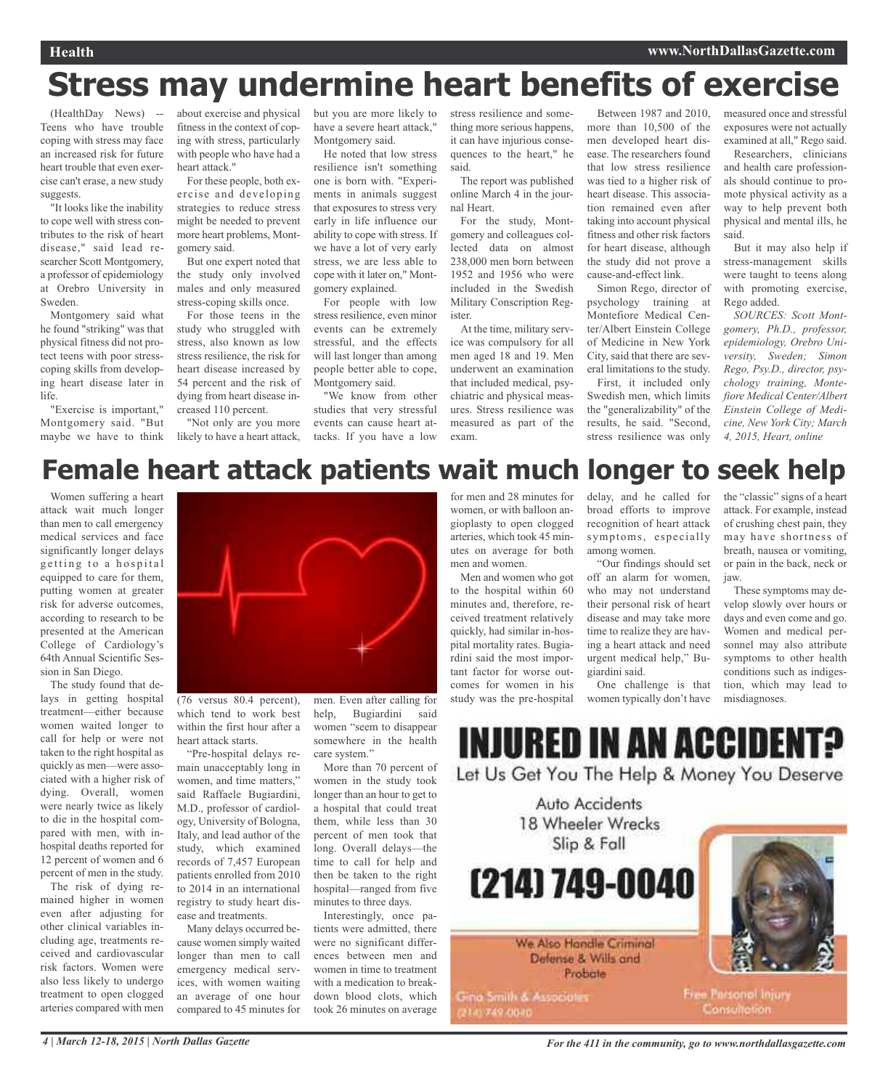# **Stress may undermine heart benefits of exercise**

(HealthDay News) -- Teens who have trouble coping with stress may face an increased risk for future heart trouble that even exercise can't erase, a new study suggests.

"It looks like the inability to cope well with stress contributes to the risk of heart disease," said lead researcher Scott Montgomery, a professor of epidemiology at Orebro University in Sweden.

Montgomery said what he found "striking" was that physical fitness did not protect teens with poor stresscoping skills from developing heart disease later in life.

"Exercise is important," Montgomery said. "But maybe we have to think

about exercise and physical but you are more likely to stress resilience and somefitness in the context of coping with stress, particularly with people who have had a heart attack."

For these people, both exercise and developing strategies to reduce stress might be needed to prevent more heart problems, Montgomery said.

But one expert noted that the study only involved males and only measured stress-coping skills once.

For those teens in the study who struggled with stress, also known as low stress resilience, the risk for heart disease increased by 54 percent and the risk of dying from heart disease increased 110 percent.

"Not only are you more likely to have a heart attack,

have a severe heart attack," Montgomery said.

He noted that low stress resilience isn't something one is born with. "Experiments in animals suggest that exposures to stress very early in life influence our ability to cope with stress. If we have a lot of very early stress, we are less able to cope with it later on," Montgomery explained.

For people with low stress resilience, even minor events can be extremely stressful, and the effects will last longer than among people better able to cope, Montgomery said.

"We know from other studies that very stressful events can cause heart attacks. If you have a low

thing more serious happens, it can have injurious consequences to the heart," he said.

The report was published online March 4 in the journal Heart.

For the study, Montgomery and colleagues collected data on almost 238,000 men born between 1952 and 1956 who were included in the Swedish Military Conscription Register.

At the time, military service was compulsory for all men aged 18 and 19. Men underwent an examination that included medical, psychiatric and physical measures. Stress resilience was measured as part of the exam.

Between 1987 and 2010, more than 10,500 of the men developed heart disease. The researchers found that low stress resilience was tied to a higher risk of heart disease. This association remained even after taking into account physical fitness and other risk factors for heart disease, although the study did not prove a cause-and-effect link.

Simon Rego, director of psychology training at Montefiore Medical Center/Albert Einstein College of Medicine in New York City, said that there are several limitations to the study.

First, it included only Swedish men, which limits the "generalizability" of the results, he said. "Second, stress resilience was only

measured once and stressful exposures were not actually examined at all," Rego said.

Researchers, clinicians and health care professionals should continue to promote physical activity as a way to help prevent both physical and mental ills, he said.

But it may also help if stress-management skills were taught to teens along with promoting exercise, Rego added.

*SOURCES: Scott Montgomery, Ph.D., professor, epidemiology, Orebro University, Sweden; Simon Rego, Psy.D., director, psychology training, Montefiore Medical Center/Albert Einstein College of Medicine, New York City; March 4, 2015, Heart, online*

## **Female heart attack patients wait much longer to seek help**

Women suffering a heart attack wait much longer than men to call emergency medical services and face significantly longer delays getting to a hospital equipped to care for them, putting women at greater risk for adverse outcomes, according to research to be presented at the American College of Cardiology's 64th Annual Scientific Session in San Diego.

The study found that delays in getting hospital treatment—either because women waited longer to call for help or were not taken to the right hospital as quickly as men—were associated with a higher risk of dying. Overall, women were nearly twice as likely to die in the hospital compared with men, with inhospital deaths reported for 12 percent of women and 6 percent of men in the study.

The risk of dying remained higher in women even after adjusting for other clinical variables including age, treatments received and cardiovascular risk factors. Women were also less likely to undergo treatment to open clogged arteries compared with men



(76 versus 80.4 percent), which tend to work best within the first hour after a heart attack starts.

"Pre-hospital delays remain unacceptably long in women, and time matters," said Raffaele Bugiardini, M.D., professor of cardiology, University of Bologna, Italy, and lead author of the study, which examined records of 7,457 European patients enrolled from 2010 to 2014 in an international registry to study heart disease and treatments.

Many delays occurred because women simply waited longer than men to call emergency medical services, with women waiting an average of one hour compared to 45 minutes for

men. Even after calling for help, Bugiardini said women "seem to disappear somewhere in the health care system."

More than 70 percent of women in the study took longer than an hour to get to a hospital that could treat them, while less than 30 percent of men took that long. Overall delays—the time to call for help and then be taken to the right hospital—ranged from five minutes to three days.

Interestingly, once patients were admitted, there were no significant differences between men and women in time to treatment with a medication to breakdown blood clots, which took 26 minutes on average

for men and 28 minutes for women, or with balloon angioplasty to open clogged arteries, which took 45 minutes on average for both men and women.

Men and women who got to the hospital within 60 minutes and, therefore, received treatment relatively quickly, had similar in-hospital mortality rates. Bugiardini said the most important factor for worse outcomes for women in his study was the pre-hospital delay, and he called for broad efforts to improve recognition of heart attack symptoms, especially among women.

"Our findings should set off an alarm for women, who may not understand their personal risk of heart disease and may take more time to realize they are having a heart attack and need urgent medical help," Bugiardini said.

One challenge is that women typically don't have the "classic" signs of a heart attack. For example, instead of crushing chest pain, they may have shortness of breath, nausea or vomiting, or pain in the back, neck or jaw.

These symptoms may develop slowly over hours or days and even come and go. Women and medical personnel may also attribute symptoms to other health conditions such as indigestion, which may lead to misdiagnoses.



We Also Handle Criminal Defense & Wills and Probate

**Gina Smith & Associates** (214) 749-0040



Free Paisonal Injury **Consultation** 

4 | March 12-18, 2015 | North Dallas Gazette **State Assembly** For the 411 in the community, go to www.northdallasgazette.com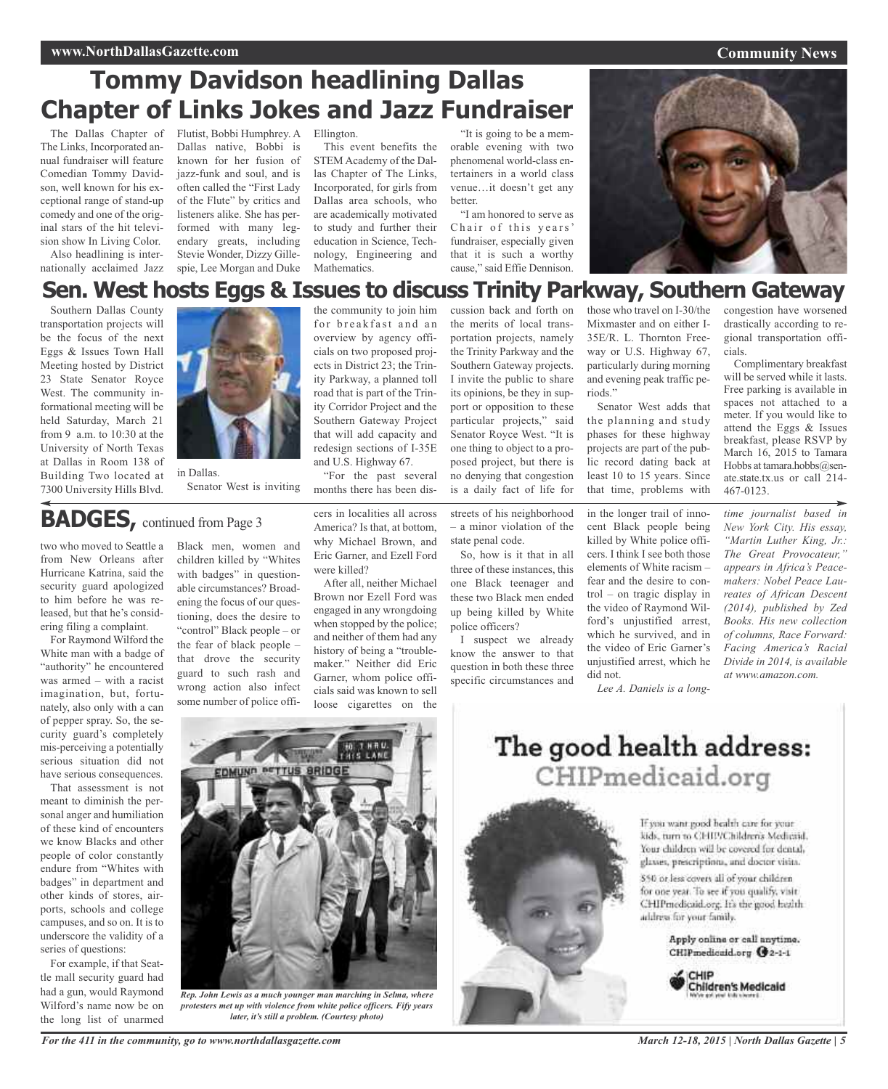### **www.NorthDallasGazette.com**

### **Tommy Davidson headlining Dallas Chapter of Links Jokes and Jazz Fundraiser**

The Dallas Chapter of The Links, Incorporated annual fundraiser will feature Comedian Tommy Davidson, well known for his exceptional range of stand-up comedy and one of the original stars of the hit television show In Living Color.

Also headlining is internationally acclaimed Jazz Flutist, Bobbi Humphrey. A Dallas native, Bobbi is known for her fusion of jazz-funk and soul, and is often called the "First Lady of the Flute" by critics and listeners alike. She has performed with many legendary greats, including Stevie Wonder, Dizzy Gillespie, Lee Morgan and Duke

Ellington.

This event benefits the STEM Academy of the Dallas Chapter of The Links, Incorporated, for girls from Dallas area schools, who are academically motivated to study and further their education in Science, Technology, Engineering and **Mathematics** 

for breakfast and an overview by agency officials on two proposed projects in District 23; the Trinity Parkway, a planned toll road that is part of the Trinity Corridor Project and the Southern Gateway Project that will add capacity and redesign sections of I-35E and U.S. Highway 67. "For the past several months there has been dis-

"It is going to be a memorable evening with two phenomenal world-class entertainers in a world class venue…it doesn't get any better.

"I am honored to serve as Chair of this years' fundraiser, especially given that it is such a worthy cause," said Effie Dennison.



### **Sen. West hosts Eggs & Issues to discuss Trinity Parkway, Southern Gateway** the community to join him

Southern Dallas County transportation projects will be the focus of the next Eggs & Issues Town Hall Meeting hosted by District 23 State Senator Royce West. The community informational meeting will be held Saturday, March 21 from 9 a.m. to 10:30 at the University of North Texas at Dallas in Room 138 of Building Two located at 7300 University Hills Blvd.



Senator West is inviting

### **BADGES,** continued from Page <sup>3</sup>

two who moved to Seattle a from New Orleans after Hurricane Katrina, said the security guard apologized to him before he was released, but that he's considering filing a complaint.

For Raymond Wilford the White man with a badge of "authority" he encountered was armed – with a racist imagination, but, fortunately, also only with a can of pepper spray. So, the security guard's completely mis-perceiving a potentially serious situation did not have serious consequences.

That assessment is not meant to diminish the personal anger and humiliation of these kind of encounters we know Blacks and other people of color constantly endure from "Whites with badges" in department and other kinds of stores, airports, schools and college campuses, and so on. It is to underscore the validity of a series of questions:

For example, if that Seattle mall security guard had had a gun, would Raymond Wilford's name now be on the long list of unarmed Black men, women and children killed by "Whites with badges" in questionable circumstances? Broadening the focus of our questioning, does the desire to "control" Black people – or the fear of black people – that drove the security guard to such rash and wrong action also infect some number of police officers in localities all across America? Is that, at bottom, why Michael Brown, and Eric Garner, and Ezell Ford were killed?

After all, neither Michael Brown nor Ezell Ford was engaged in any wrongdoing when stopped by the police; and neither of them had any history of being a "troublemaker." Neither did Eric Garner, whom police officials said was known to sell loose cigarettes on the

cussion back and forth on the merits of local transportation projects, namely the Trinity Parkway and the Southern Gateway projects. I invite the public to share its opinions, be they in support or opposition to these particular projects," said Senator Royce West. "It is one thing to object to a proposed project, but there is no denying that congestion is a daily fact of life for

streets of his neighborhood – a minor violation of the state penal code.

So, how is it that in all three of these instances, this one Black teenager and these two Black men ended up being killed by White police officers?

I suspect we already know the answer to that question in both these three specific circumstances and

those who travel on I-30/the Mixmaster and on either I-35E/R. L. Thornton Freeway or U.S. Highway 67, particularly during morning and evening peak traffic periods."

Senator West adds that the planning and study phases for these highway projects are part of the public record dating back at least 10 to 15 years. Since that time, problems with

in the longer trail of innocent Black people being killed by White police officers. I think I see both those elements of White racism – fear and the desire to control – on tragic display in the video of Raymond Wilford's unjustified arrest, which he survived, and in the video of Eric Garner's unjustified arrest, which he did not.

congestion have worsened drastically according to regional transportation officials.

Complimentary breakfast will be served while it lasts. Free parking is available in spaces not attached to a meter. If you would like to attend the Eggs & Issues breakfast, please RSVP by March 16, 2015 to Tamara Hobbs at tamara.hobbs@senate.state.tx.us or call 214- 467-0123.

*time journalist based in New York City. His essay, "Martin Luther King, Jr.: The Great Provocateur," appears in Africa's Peacemakers: Nobel Peace Laureates of African Descent (2014), published by Zed Books. His new collection of columns, Race Forward: Facing America's Racial Divide in 2014, is available at www.amazon.com.*

*Lee A. Daniels is a long-*

*Rep. John Lewis as a much younger man marching in Selma, where protesters met up with violence from white police officers. Fify years later, it's still a problem. (Courtesy photo)*

## The good health address: CHIPmedicaid.org

If you want good health care for your kids, turn to CHIP/Children's Medicaid. Your children will be covered for dental, glasses, prescriptions, and doctor visits.

\$50 or less covers all of your children for one year. To see if you qualify, visit CHIP medicaid.org. It's the good health address for your family.

> Apply online or call anytime. CHIPmedicaid.org @2-1-1



### **Community News**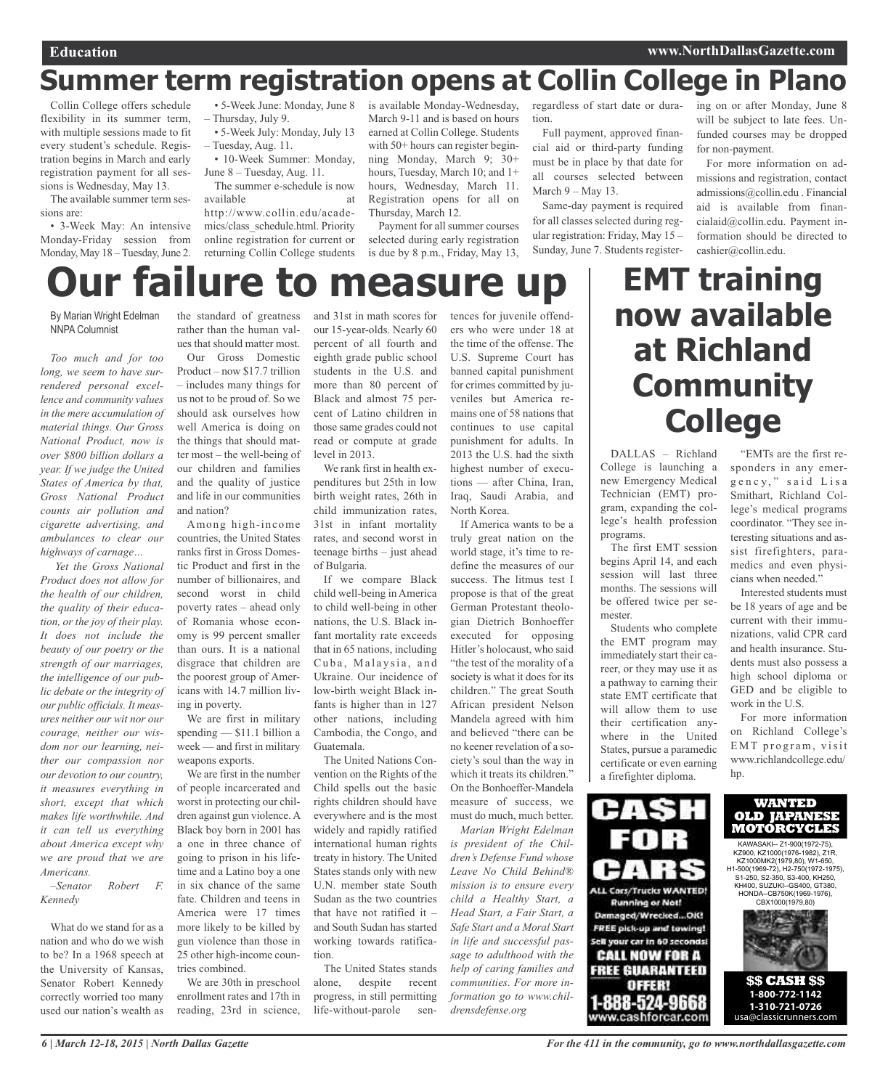## **Summer term registration opens at Collin College in Plano**

Collin College offers schedule flexibility in its summer term, with multiple sessions made to fit every student's schedule. Registration begins in March and early registration payment for all sessions is Wednesday, May 13.

The available summer term sessions are:

• 3-Week May: An intensive Monday-Friday session from Monday, May 18 – Tuesday, June 2.

• 5-Week June: Monday, June 8 – Thursday, July 9.

• 5-Week July: Monday, July 13 – Tuesday, Aug. 11.

• 10-Week Summer: Monday, June 8 – Tuesday, Aug. 11.

The summer e-schedule is now available at

http://www.collin.edu/academics/class\_schedule.html. Priority online registration for current or returning Collin College students is available Monday-Wednesday, March 9-11 and is based on hours earned at Collin College. Students with 50+ hours can register beginning Monday, March 9; 30+ hours, Tuesday, March 10; and 1+ hours, Wednesday, March 11. Registration opens for all on Thursday, March 12.

Payment for all summer courses selected during early registration is due by 8 p.m., Friday, May 13, regardless of start date or duration.

Full payment, approved financial aid or third-party funding must be in place by that date for all courses selected between March 9 – May 13.

Same-day payment is required for all classes selected during regular registration: Friday, May 15 – Sunday, June 7. Students registering on or after Monday, June 8 will be subject to late fees. Unfunded courses may be dropped for non-payment.

For more information on admissions and registration, contact admissions@collin.edu . Financial aid is available from financialaid@collin.edu. Payment information should be directed to cashier@collin.edu.

# **Our failure to measure up**

By Marian Wright Edelman NNPA Columnist

*Too much and for too long, we seem to have surrendered personal excellence and community values in the mere accumulation of material things. Our Gross National Product, now is over \$800 billion dollars a year. If we judge the United States of America by that, Gross National Product counts air pollution and cigarette advertising, and ambulances to clear our highways of carnage…*

*Yet the Gross National Product does not allow for the health of our children, the quality of their education, or the joy of their play. It does not include the beauty of our poetry or the strength of our marriages, the intelligence of our public debate or the integrity of our public officials. It measures neither our wit nor our courage, neither our wisdom nor our learning, neither our compassion nor our devotion to our country, it measures everything in short, except that which makes life worthwhile. And it can tell us everything about America except why we are proud that we are Americans.*

*–Senator Robert F. Kennedy*

What do we stand for as a nation and who do we wish to be? In a 1968 speech at the University of Kansas, Senator Robert Kennedy correctly worried too many used our nation's wealth as

the standard of greatness rather than the human values that should matter most.

Our Gross Domestic Product – now \$17.7 trillion – includes many things for us not to be proud of. So we should ask ourselves how well America is doing on the things that should matter most – the well-being of our children and families and the quality of justice and life in our communities and nation?

Among high-income countries, the United States ranks first in Gross Domestic Product and first in the number of billionaires, and second worst in child poverty rates – ahead only of Romania whose economy is 99 percent smaller than ours. It is a national disgrace that children are the poorest group of Americans with 14.7 million living in poverty.

We are first in military spending — \$11.1 billion a week — and first in military weapons exports.

We are first in the number of people incarcerated and worst in protecting our children against gun violence. A Black boy born in 2001 has a one in three chance of going to prison in his lifetime and a Latino boy a one in six chance of the same fate. Children and teens in America were 17 times more likely to be killed by gun violence than those in 25 other high-income countries combined.

We are 30th in preschool enrollment rates and 17th in reading, 23rd in science,

and 31st in math scores for our 15-year-olds. Nearly 60 percent of all fourth and eighth grade public school students in the U.S. and more than 80 percent of Black and almost 75 percent of Latino children in those same grades could not read or compute at grade level in 2013.

We rank first in health expenditures but 25th in low birth weight rates, 26th in child immunization rates, 31st in infant mortality rates, and second worst in teenage births – just ahead of Bulgaria.

If we compare Black child well-being in America to child well-being in other nations, the U.S. Black infant mortality rate exceeds that in 65 nations, including Cuba, Malaysia, and Ukraine. Our incidence of low-birth weight Black infants is higher than in 127 other nations, including Cambodia, the Congo, and Guatemala.

The United Nations Convention on the Rights of the Child spells out the basic rights children should have everywhere and is the most widely and rapidly ratified international human rights treaty in history. The United States stands only with new U.N. member state South Sudan as the two countries that have not ratified it – and South Sudan has started working towards ratification.

The United States stands alone, despite recent progress, in still permitting life-without-parole sentences for juvenile offenders who were under 18 at the time of the offense. The U.S. Supreme Court has banned capital punishment for crimes committed by juveniles but America remains one of 58 nations that continues to use capital punishment for adults. In 2013 the U.S. had the sixth highest number of executions — after China, Iran, Iraq, Saudi Arabia, and North Korea.

If America wants to be a truly great nation on the world stage, it's time to redefine the measures of our success. The litmus test I propose is that of the great German Protestant theologian Dietrich Bonhoeffer executed for opposing Hitler's holocaust, who said "the test of the morality of a society is what it does for its children." The great South African president Nelson Mandela agreed with him and believed "there can be no keener revelation of a society's soul than the way in which it treats its children." On the Bonhoeffer-Mandela measure of success, we must do much, much better.

*Marian Wright Edelman is president of the Children's Defense Fund whose Leave No Child Behind® mission is to ensure every child a Healthy Start, a Head Start, a Fair Start, a Safe Start and a Moral Start in life and successful passage to adulthood with the help of caring families and communities. For more information go to www.childrensdefense.org*

## **EMT training now available at Richland Community College**

DALLAS – Richland College is launching a new Emergency Medical Technician (EMT) program, expanding the college's health profession programs.

The first EMT session begins April 14, and each session will last three months. The sessions will be offered twice per semester.

Students who complete the EMT program may immediately start their career, or they may use it as a pathway to earning their state EMT certificate that will allow them to use their certification anywhere in the United States, pursue a paramedic certificate or even earning a firefighter diploma.



"EMTs are the first responders in any emergency," said Lisa Smithart, Richland College's medical programs coordinator. "They see interesting situations and assist firefighters, paramedics and even physicians when needed."

Interested students must be 18 years of age and be current with their immunizations, valid CPR card and health insurance. Students must also possess a high school diploma or GED and be eligible to work in the U.S.

For more information on Richland College's EMT program, visit www.richlandcollege.edu/ hp.

### **WANTED OLD JAPANESE MOTORCYCLES**

KAWASAKI-- Z1-900(1972-75), KZ900, KZ1000(1976-1982), Z1R, KZ1000MK2(1979,80), W1-650, H1-500(1969-72), H2-750(1972-1975), S1-250, S2-350, S3-400, KH250, KH400, SUZUKI--GS400, GT380, HONDA--CB750K(1969-1976), CBX1000(1979,80)



**1-310-721-0726**  usa@classicrunners.com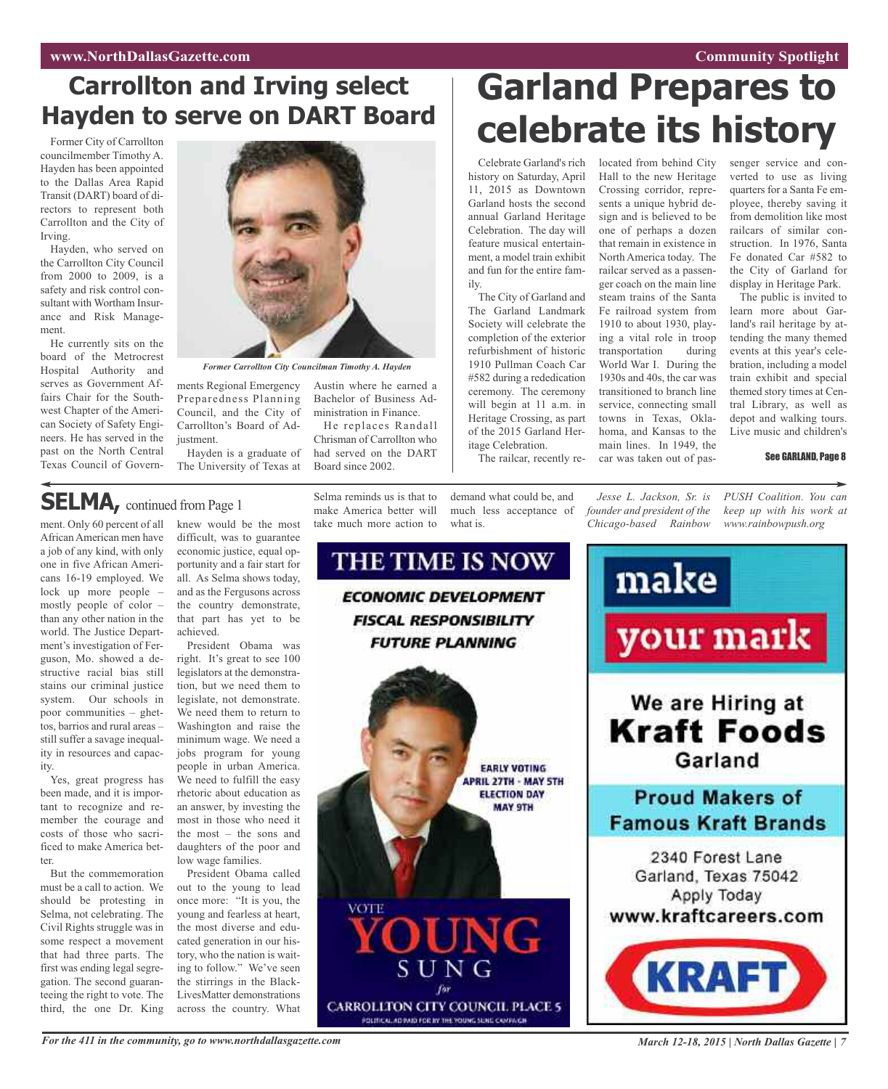### **Carrollton and Irving select Hayden to serve on DART Board**

Former City of Carrollton councilmember Timothy A. Hayden has been appointed to the Dallas Area Rapid Transit (DART) board of directors to represent both Carrollton and the City of Irving.

Hayden, who served on the Carrollton City Council from 2000 to 2009, is a safety and risk control consultant with Wortham Insurance and Risk Management.

He currently sits on the board of the Metrocrest Hospital Authority and serves as Government Affairs Chair for the Southwest Chapter of the American Society of Safety Engineers. He has served in the past on the North Central Texas Council of Govern-



*Former Carrollton City Councilman Timothy A. Hayden*

ments Regional Emergency Preparedness Planning Council, and the City of Carrollton's Board of Adjustment.

The University of Texas at Board since 2002.

Austin where he earned a Bachelor of Business Administration in Finance.

Hayden is a graduate of had served on the DART He replaces Randall Chrisman of Carrollton who

## **Garland Prepares to celebrate its history**

Celebrate Garland's rich history on Saturday, April 11, 2015 as Downtown Garland hosts the second annual Garland Heritage Celebration. The day will feature musical entertainment, a model train exhibit and fun for the entire family.

The City of Garland and The Garland Landmark Society will celebrate the completion of the exterior refurbishment of historic 1910 Pullman Coach Car #582 during a rededication ceremony. The ceremony will begin at 11 a.m. in Heritage Crossing, as part of the 2015 Garland Heritage Celebration.

The railcar, recently re-

located from behind City Hall to the new Heritage Crossing corridor, represents a unique hybrid design and is believed to be one of perhaps a dozen that remain in existence in North America today. The railcar served as a passenger coach on the main line steam trains of the Santa Fe railroad system from 1910 to about 1930, playing a vital role in troop transportation during World War I. During the 1930s and 40s, the car was transitioned to branch line service, connecting small towns in Texas, Oklahoma, and Kansas to the main lines. In 1949, the car was taken out of pas-

*Jesse L. Jackson, Sr. is founder and president of the Chicago-based Rainbow*

senger service and converted to use as living quarters for a Santa Fe employee, thereby saving it from demolition like most railcars of similar construction. In 1976, Santa Fe donated Car #582 to the City of Garland for display in Heritage Park.

The public is invited to learn more about Garland's rail heritage by attending the many themed events at this year's celebration, including a model train exhibit and special themed story times at Central Library, as well as depot and walking tours. Live music and children's

### See GARLAND, Page 8

*PUSH Coalition. You can keep up with his work at*

### SELMA, continued from Page 1

ment. Only 60 percent of all African American men have a job of any kind, with only one in five African Americans 16-19 employed. We lock up more people – mostly people of color – than any other nation in the world. The Justice Department's investigation of Ferguson, Mo. showed a destructive racial bias still stains our criminal justice system. Our schools in poor communities – ghettos, barrios and rural areas – still suffer a savage inequality in resources and capacity.

Yes, great progress has been made, and it is important to recognize and remember the courage and costs of those who sacrificed to make America better.

But the commemoration must be a call to action. We should be protesting in Selma, not celebrating. The Civil Rights struggle was in some respect a movement that had three parts. The first was ending legal segregation. The second guaranteeing the right to vote. The third, the one Dr. King

knew would be the most difficult, was to guarantee economic justice, equal opportunity and a fair start for all. As Selma shows today, and as the Fergusons across the country demonstrate, that part has yet to be achieved.

President Obama was right. It's great to see 100 legislators at the demonstration, but we need them to legislate, not demonstrate. We need them to return to Washington and raise the minimum wage. We need a jobs program for young people in urban America. We need to fulfill the easy rhetoric about education as an answer, by investing the most in those who need it the most – the sons and daughters of the poor and low wage families.

President Obama called out to the young to lead once more: "It is you, the young and fearless at heart, the most diverse and educated generation in our history, who the nation is waiting to follow." We've seen the stirrings in the Black-LivesMatter demonstrations across the country. What

Selma reminds us is that to make America better will take much more action to

VOTE

demand what could be, and much less acceptance of what is.

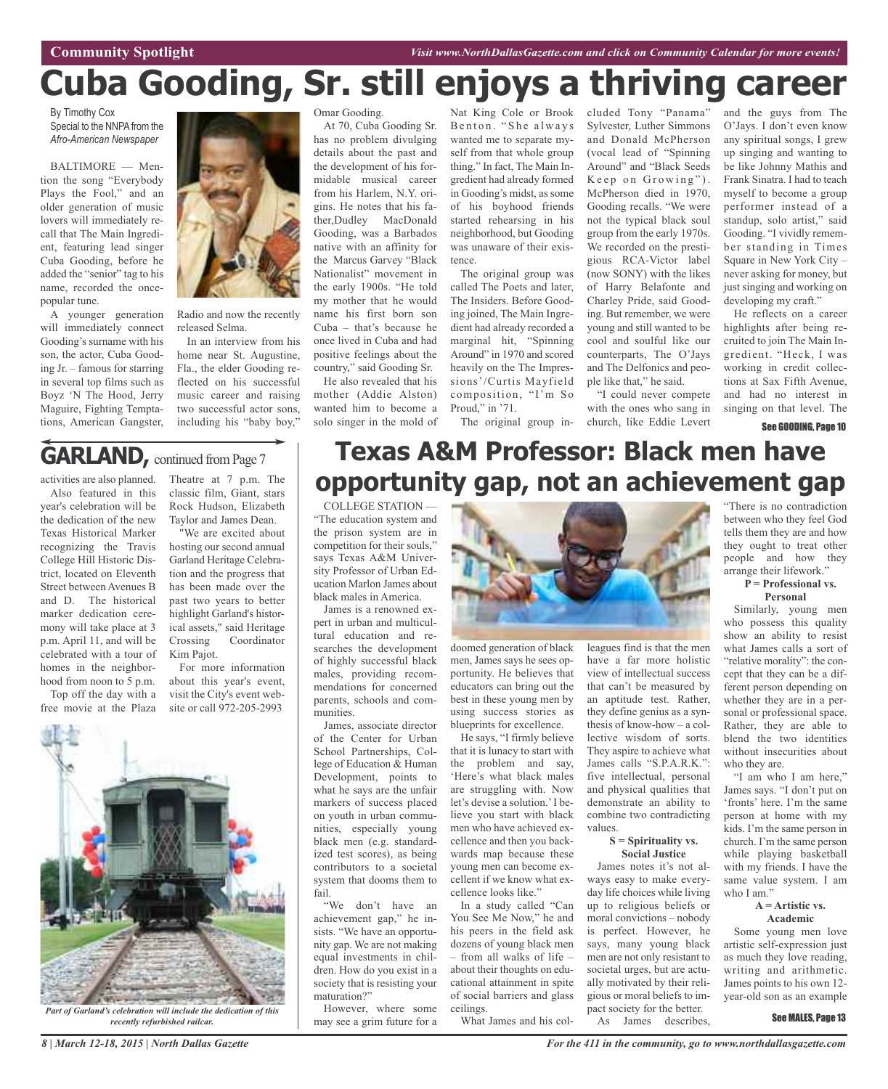# **Cuba Gooding, Sr. still enjoys a thriving career**

By Timothy Cox Special to the NNPA from the *Afro-American Newspaper*

BALTIMORE — Mention the song "Everybody Plays the Fool," and an older generation of music lovers will immediately recall that The Main Ingredient, featuring lead singer Cuba Gooding, before he added the "senior" tag to his name, recorded the oncepopular tune.

A younger generation will immediately connect Gooding's surname with his son, the actor, Cuba Gooding Jr. – famous for starring in several top films such as Boyz 'N The Hood, Jerry Maguire, Fighting Temptations, American Gangster,



Radio and now the recently released Selma.

In an interview from his home near St. Augustine, Fla., the elder Gooding reflected on his successful music career and raising two successful actor sons, including his "baby boy,"

Omar Gooding.

At 70, Cuba Gooding Sr. has no problem divulging details about the past and the development of his formidable musical career from his Harlem, N.Y. origins. He notes that his father,Dudley MacDonald Gooding, was a Barbados native with an affinity for the Marcus Garvey "Black Nationalist" movement in the early 1900s. "He told my mother that he would name his first born son Cuba – that's because he once lived in Cuba and had positive feelings about the country," said Gooding Sr.

He also revealed that his mother (Addie Alston) wanted him to become a solo singer in the mold of

Nat King Cole or Brook Benton. "She always wanted me to separate myself from that whole group thing." In fact, The Main Ingredient had already formed in Gooding's midst, as some of his boyhood friends started rehearsing in his neighborhood, but Gooding was unaware of their existence.

The original group was called The Poets and later, The Insiders. Before Gooding joined, The Main Ingredient had already recorded a marginal hit, "Spinning Around" in 1970 and scored heavily on the The Impressions'/Curtis Mayfield composition, "I'm So Proud," in '71.

The original group in-

cluded Tony "Panama" Sylvester, Luther Simmons and Donald McPherson (vocal lead of "Spinning Around" and "Black Seeds Keep on  $Group$ . McPherson died in 1970, Gooding recalls. "We were not the typical black soul group from the early 1970s. We recorded on the prestigious RCA-Victor label (now SONY) with the likes of Harry Belafonte and Charley Pride, said Gooding. But remember, we were young and still wanted to be cool and soulful like our counterparts, The O'Jays and The Delfonics and people like that," he said.

"I could never compete with the ones who sang in church, like Eddie Levert

and the guys from The O'Jays. I don't even know any spiritual songs, I grew up singing and wanting to be like Johnny Mathis and Frank Sinatra. I had to teach myself to become a group performer instead of a standup, solo artist," said Gooding. "I vividly remember standing in Times Square in New York City – never asking for money, but just singing and working on developing my craft."

He reflects on a career highlights after being recruited to join The Main Ingredient. "Heck, I was working in credit collections at Sax Fifth Avenue, and had no interest in singing on that level. The

See GOODING, Page 10

### **GARLAND**, continued from Page 7

activities are also planned. Also featured in this year's celebration will be the dedication of the new Texas Historical Marker recognizing the Travis College Hill Historic District, located on Eleventh Street between Avenues B and D. The historical marker dedication ceremony will take place at 3 p.m. April 11, and will be celebrated with a tour of homes in the neighborhood from noon to 5 p.m.

Top off the day with a free movie at the Plaza

## Theatre at 7 p.m. The

classic film, Giant, stars Rock Hudson, Elizabeth Taylor and James Dean.

"We are excited about hosting our second annual Garland Heritage Celebration and the progress that has been made over the past two years to better highlight Garland's historical assets," said Heritage Coordinator Kim Pajot.

For more information about this year's event, visit the City's event website or call 972-205-2993



*recently refurbished railcar.* Subsets a grim future for a and his col- As James describes, See MALES, Page 13 *Part of Garland's celebration will include the dedication of this*

*8 | March 12-18, 2015 | North Dallas Gazette*

### COLLEGE STATION — "The education system and the prison system are in **opportunity gap, not an achievement gap**

competition for their souls," says Texas A&M University Professor of Urban Education Marlon James about black males in America.

James is a renowned expert in urban and multicultural education and researches the development of highly successful black males, providing recommendations for concerned parents, schools and communities.

James, associate director of the Center for Urban School Partnerships, College of Education & Human Development, points to what he says are the unfair markers of success placed on youth in urban communities, especially young black men (e.g. standardized test scores), as being contributors to a societal system that dooms them to fail.

"We don't have an achievement gap," he insists. "We have an opportunity gap. We are not making equal investments in children. How do you exist in a society that is resisting your maturation?"

However, where some



**Texas A&M Professor: Black men have**

doomed generation of black men, James says he sees opportunity. He believes that educators can bring out the best in these young men by using success stories as blueprints for excellence.

He says, "I firmly believe that it is lunacy to start with the problem and say, 'Here's what black males are struggling with. Now let's devise a solution.'I believe you start with black men who have achieved excellence and then you backwards map because these young men can become excellent if we know what excellence looks like."

In a study called "Can You See Me Now," he and his peers in the field ask dozens of young black men – from all walks of life – about their thoughts on educational attainment in spite of social barriers and glass ceilings.

What James and his col-

leagues find is that the men have a far more holistic view of intellectual success that can't be measured by an aptitude test. Rather, they define genius as a synthesis of know-how – a collective wisdom of sorts. They aspire to achieve what James calls "S.P.A.R.K.": five intellectual, personal and physical qualities that demonstrate an ability to combine two contradicting values.

#### **S = Spirituality vs. Social Justice**

James notes it's not always easy to make everyday life choices while living up to religious beliefs or moral convictions – nobody is perfect. However, he says, many young black men are not only resistant to societal urges, but are actually motivated by their religious or moral beliefs to impact society for the better. As James describes,

"There is no contradiction between who they feel God tells them they are and how they ought to treat other people and how they arrange their lifework."

#### **P = Professional vs. Personal**

Similarly, young men who possess this quality show an ability to resist what James calls a sort of "relative morality": the concept that they can be a different person depending on whether they are in a personal or professional space. Rather, they are able to blend the two identities without insecurities about who they are.

"I am who I am here," James says. "I don't put on 'fronts' here. I'm the same person at home with my kids. I'm the same person in church. I'm the same person while playing basketball with my friends. I have the same value system. I am who I am."

### **A = Artistic vs.**

### **Academic**

Some young men love artistic self-expression just as much they love reading, writing and arithmetic. James points to his own 12 year-old son as an example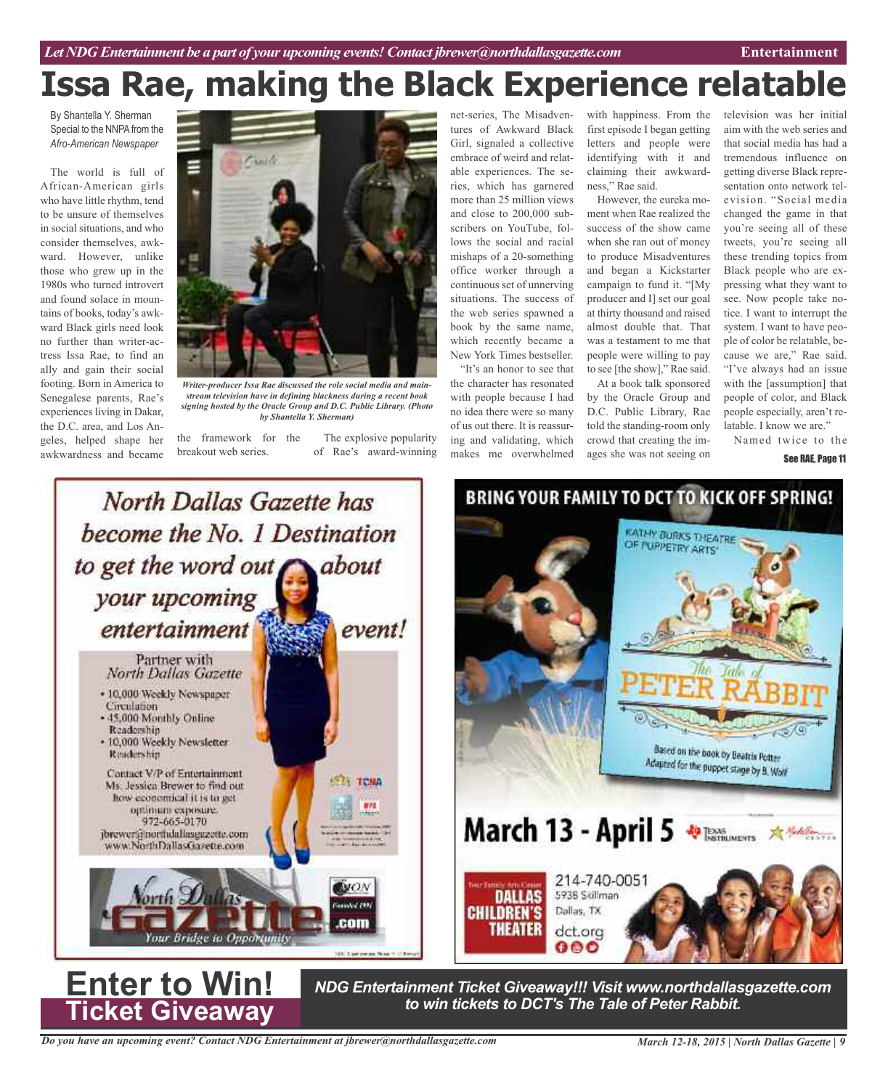## **Issa Rae, making the Black Experience relatable**

By Shantella Y. Sherman Special to the NNPA from the *Afro-American Newspaper*

The world is full of African-American girls who have little rhythm, tend to be unsure of themselves in social situations, and who consider themselves, awkward. However, unlike those who grew up in the 1980s who turned introvert and found solace in mountains of books, today's awkward Black girls need look no further than writer-actress Issa Rae, to find an ally and gain their social footing. Born in America to Senegalese parents, Rae's experiences living in Dakar, the D.C. area, and Los Angeles, helped shape her awkwardness and became



*Writer-producer Issa Rae discussed the role social media and mainstream television have in defining blackness during a recent book signing hosted by the Oracle Group and D.C. Public Library. (Photo by Shantella Y. Sherman)*

the framework for the breakout web series.

The explosive popularity of Rae's award-winning net-series, The Misadventures of Awkward Black Girl, signaled a collective embrace of weird and relatable experiences. The series, which has garnered more than 25 million views and close to 200,000 subscribers on YouTube, follows the social and racial mishaps of a 20-something office worker through a continuous set of unnerving situations. The success of the web series spawned a book by the same name, which recently became a New York Times bestseller.

"It's an honor to see that the character has resonated with people because I had no idea there were so many of us out there. It is reassuring and validating, which makes me overwhelmed

with happiness. From the first episode I began getting letters and people were identifying with it and claiming their awkwardness," Rae said.

However, the eureka moment when Rae realized the success of the show came when she ran out of money to produce Misadventures and began a Kickstarter campaign to fund it. "[My producer and I] set our goal at thirty thousand and raised almost double that. That was a testament to me that people were willing to pay to see [the show]," Rae said.

At a book talk sponsored by the Oracle Group and D.C. Public Library, Rae told the standing-room only crowd that creating the images she was not seeing on

> **KATHY BURKS THEATRE** OF PUPPETRY ARTS

> > Based on the book by Beatrix Potter

Adapted for the puppet stage by 8. Work

television was her initial aim with the web series and that social media has had a tremendous influence on getting diverse Black representation onto network television. "Social media changed the game in that you're seeing all of these tweets, you're seeing all these trending topics from Black people who are expressing what they want to see. Now people take notice. I want to interrupt the system. I want to have people of color be relatable, because we are," Rae said. "I've always had an issue with the [assumption] that people of color, and Black people especially, aren't relatable. I know we are."

Named twice to the

See RAE, Page 11



THEATER dct.org 690 **to** *Win!* NDG Entertainment Ticket Giveaway!!! Visit www.northdallas<br>Ticket Giveaway *NDG Entertainment Ticket Giveaway!!! Visit www.northdallasgazette.com*

214-740-0051

593B Skillman

Dallas, TX

DALLAS

*Do you have an upcoming event? Contact NDG Entertainment at jbrewer@northdallasgazette.com*

**Ticket Giveaway**

*March 12-18, 2015 | North Dallas Gazette | 9*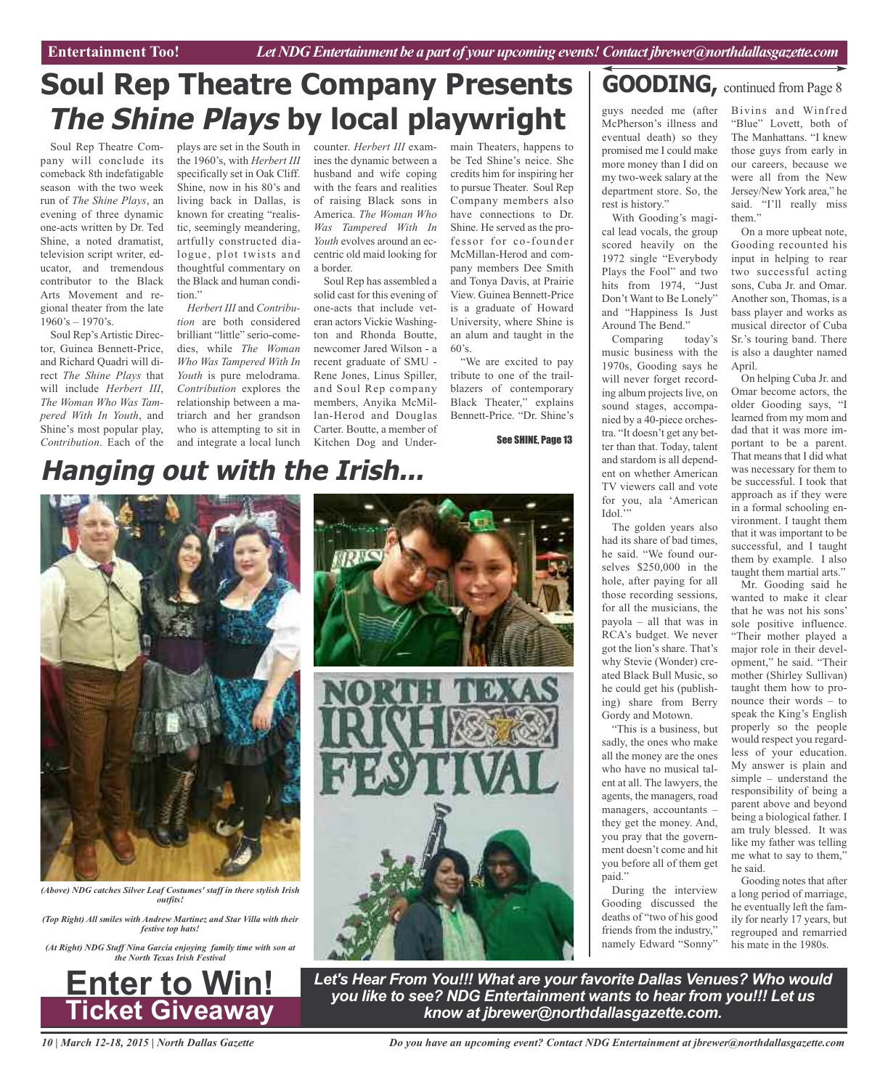## **Soul Rep Theatre Company Presents The Shine Plays by local playwright**

Soul Rep Theatre Company will conclude its comeback 8th indefatigable season with the two week run of *The Shine Plays*, an evening of three dynamic one-acts written by Dr. Ted Shine, a noted dramatist, television script writer, educator, and tremendous contributor to the Black Arts Movement and regional theater from the late  $1960's - 1970's$ .

Soul Rep's Artistic Director, Guinea Bennett-Price, and Richard Quadri will direct *The Shine Plays* that will include *Herbert III*, *The Woman Who Was Tampered With In Youth*, and Shine's most popular play, *Contribution*. Each of the

plays are set in the South in counter. *Herbert III* examthe 1960's, with *Herbert III* specifically set in Oak Cliff. Shine, now in his 80's and living back in Dallas, is known for creating "realistic, seemingly meandering, artfully constructed dialogue, plot twists and thoughtful commentary on the Black and human condition"

*Herbert III* and *Contribution* are both considered brilliant "little" serio-comedies, while *The Woman Who Was Tampered With In Youth* is pure melodrama. *Contribution* explores the relationship between a matriarch and her grandson who is attempting to sit in and integrate a local lunch

ines the dynamic between a husband and wife coping with the fears and realities of raising Black sons in America. *The Woman Who Was Tampered With In Youth* evolves around an eccentric old maid looking for a border.

Soul Rep has assembled a solid cast for this evening of one-acts that include veteran actors Vickie Washington and Rhonda Boutte, newcomer Jared Wilson - a recent graduate of SMU - Rene Jones, Linus Spiller, and Soul Rep company members, Anyika McMillan-Herod and Douglas Carter. Boutte, a member of Kitchen Dog and Undermain Theaters, happens to be Ted Shine's neice. She credits him for inspiring her to pursue Theater. Soul Rep Company members also have connections to Dr. Shine. He served as the professor for co-founder McMillan-Herod and company members Dee Smith and Tonya Davis, at Prairie View. Guinea Bennett-Price is a graduate of Howard University, where Shine is an alum and taught in the 60's.

"We are excited to pay tribute to one of the trailblazers of contemporary Black Theater," explains Bennett-Price. "Dr. Shine's

See SHINE, Page 13

## **Hanging out with the Irish...**



*(Above) NDG catches Silver Leaf Costumes' staff in there stylish Irish outfits!*

*(Top Right) All smiles with Andrew Martinez and Star Villa with their festive top hats!*

*(At Right) NDG Staff Nina Garcia enjoying family time with son at the North Texas Irish Festival*





guys needed me (after McPherson's illness and eventual death) so they promised me I could make more money than I did on my two-week salary at the department store. So, the

**GOODING,** continued from Page <sup>8</sup>

rest is history." With Gooding's magical lead vocals, the group scored heavily on the 1972 single "Everybody Plays the Fool" and two hits from 1974, "Just Don't Want to Be Lonely" and "Happiness Is Just Around The Bend."

Comparing today's music business with the 1970s, Gooding says he will never forget recording album projects live, on sound stages, accompanied by a 40-piece orchestra. "It doesn't get any better than that. Today, talent and stardom is all dependent on whether American TV viewers call and vote for you, ala 'American Idol."

The golden years also had its share of bad times, he said. "We found ourselves \$250,000 in the hole, after paying for all those recording sessions, for all the musicians, the payola – all that was in RCA's budget. We never got the lion's share. That's why Stevie (Wonder) created Black Bull Music, so he could get his (publishing) share from Berry Gordy and Motown.

"This is a business, but sadly, the ones who make all the money are the ones who have no musical talent at all. The lawyers, the agents, the managers, road managers, accountants – they get the money. And, you pray that the government doesn't come and hit you before all of them get paid."

During the interview Gooding discussed the deaths of "two of his good friends from the industry," namely Edward "Sonny"

Bivins and Winfred "Blue" Lovett, both of The Manhattans. "I knew those guys from early in our careers, because we were all from the New Jersey/New York area," he said. "I'll really miss them."

On a more upbeat note, Gooding recounted his input in helping to rear two successful acting sons, Cuba Jr. and Omar. Another son, Thomas, is a bass player and works as musical director of Cuba Sr.'s touring band. There is also a daughter named April.

On helping Cuba Jr. and Omar become actors, the older Gooding says, "I learned from my mom and dad that it was more important to be a parent. That means that I did what was necessary for them to be successful. I took that approach as if they were in a formal schooling environment. I taught them that it was important to be successful, and I taught them by example. I also taught them martial arts."

Mr. Gooding said he wanted to make it clear that he was not his sons' sole positive influence. "Their mother played a major role in their development," he said. "Their mother (Shirley Sullivan) taught them how to pronounce their words – to speak the King's English properly so the people would respect you regardless of your education. My answer is plain and simple – understand the responsibility of being a parent above and beyond being a biological father. I am truly blessed. It was like my father was telling me what to say to them,' he said.

Gooding notes that after a long period of marriage, he eventually left the family for nearly 17 years, but regrouped and remarried his mate in the 1980s.

*Let's Hear From You!!! What are your favorite Dallas Venues? Who would you like to see? NDG Entertainment wants to hear from you!!! Let us know at jbrewer@northdallasgazette.com.*

*10 | March 12-18, 2015 | North Dallas Gazette*

*Do you have an upcoming event? Contact NDG Entertainment at jbrewer@northdallasgazette.com*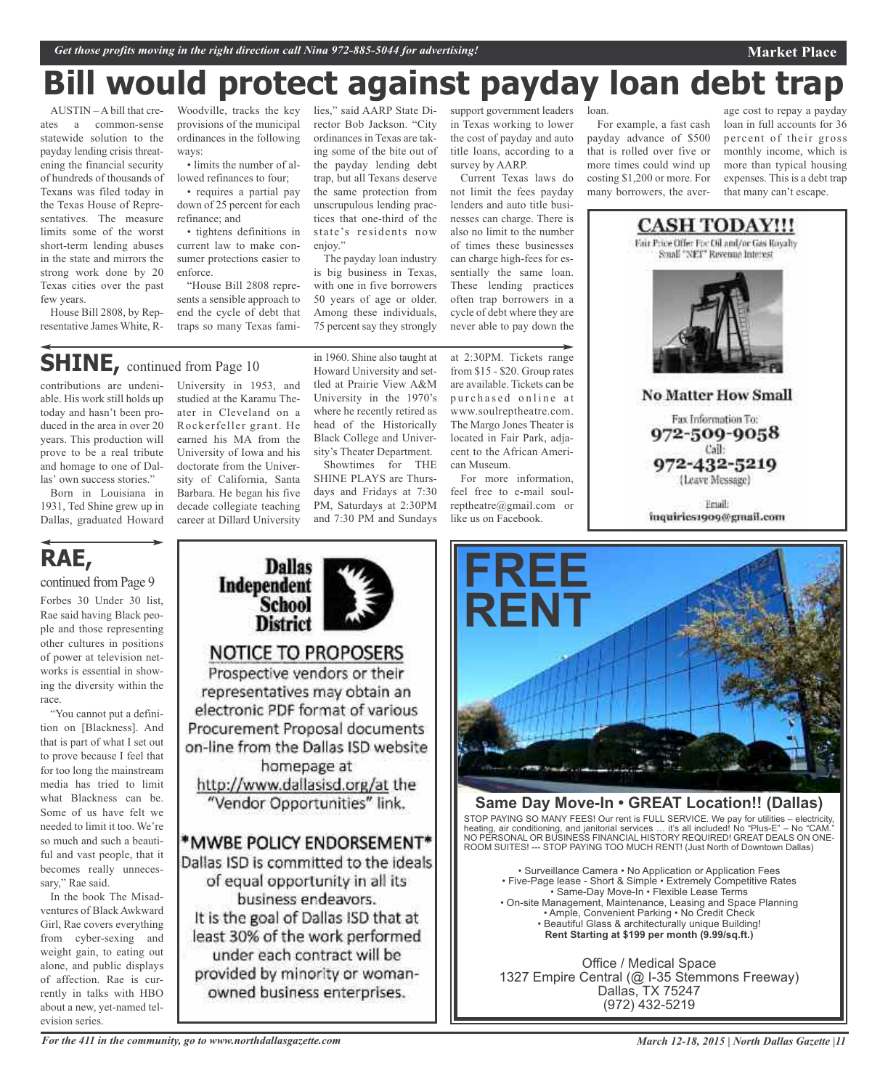## **Bill would protect against payday loan debt trap**

AUSTIN – A bill that creates a common-sense statewide solution to the payday lending crisis threatening the financial security of hundreds of thousands of Texans was filed today in the Texas House of Representatives. The measure limits some of the worst short-term lending abuses in the state and mirrors the strong work done by 20 Texas cities over the past few years.

House Bill 2808, by Representative James White, R-

Woodville, tracks the key provisions of the municipal ordinances in the following ways:

• limits the number of allowed refinances to four;

• requires a partial pay down of 25 percent for each refinance; and

• tightens definitions in current law to make consumer protections easier to enforce.

"House Bill 2808 represents a sensible approach to end the cycle of debt that traps so many Texas fami-

lies," said AARP State Director Bob Jackson. "City ordinances in Texas are taking some of the bite out of the payday lending debt trap, but all Texans deserve the same protection from unscrupulous lending practices that one-third of the state's residents now enjoy."

The payday loan industry is big business in Texas, with one in five borrowers 50 years of age or older. Among these individuals, 75 percent say they strongly

support government leaders in Texas working to lower the cost of payday and auto title loans, according to a survey by AARP.

Current Texas laws do not limit the fees payday lenders and auto title businesses can charge. There is also no limit to the number of times these businesses can charge high-fees for essentially the same loan. These lending practices often trap borrowers in a cycle of debt where they are never able to pay down the

#### loan.

For example, a fast cash payday advance of \$500 that is rolled over five or more times could wind up costing \$1,200 or more. For many borrowers, the aver-

age cost to repay a payday loan in full accounts for 36 percent of their gross monthly income, which is more than typical housing expenses. This is a debt trap that many can't escape.

**Market Place**



**No Matter How Small** 

Fax Information To: 972-509-9058 Call: 972-432-5219

(Leave Message)

Friail: inquiries1909@gmail.com

**SHINE,** continued from Page <sup>10</sup>

contributions are undeniable. His work still holds up today and hasn't been produced in the area in over 20 years. This production will prove to be a real tribute and homage to one of Dallas' own success stories."

Born in Louisiana in 1931, Ted Shine grew up in Dallas, graduated Howard

University in 1953, and studied at the Karamu Theater in Cleveland on a Rockerfeller grant. He earned his MA from the University of Iowa and his doctorate from the University of California, Santa Barbara. He began his five decade collegiate teaching career at Dillard University

in 1960. Shine also taught at Howard University and settled at Prairie View A&M University in the 1970's where he recently retired as head of the Historically Black College and University's Theater Department.

Showtimes for THE SHINE PLAYS are Thursdays and Fridays at 7:30 PM, Saturdays at 2:30PM and 7:30 PM and Sundays

at 2:30PM. Tickets range from \$15 - \$20. Group rates are available. Tickets can be purchased online at www.soulreptheatre.com. The Margo Jones Theater is located in Fair Park, adjacent to the African American Museum.

For more information, feel free to e-mail soulreptheatre@gmail.com or like us on Facebook.



### **Same Day Move-In • GREAT Location!! (Dallas)**

STOP PAYING SO MANY FEES! Our rent is FULL SERVICE. We pay for utilities – electricity, heating, air conditioning, and janitorial services … it's all included! No "Plus-E" – No "CAM." NO PERSONAL OR BUSINESS FINANCIAL HISTORY REQUIRED! GREAT DEALS ON ONE-ROOM SUITES! --- STOP PAYING TOO MUCH RENT! (Just North of Downtown Dallas)

• Surveillance Camera • No Application or Application Fees • Five-Page lease - Short & Simple • Extremely Competitive Rates • Same-Day Move-In • Flexible Lease Terms • On-site Management, Maintenance, Leasing and Space Planning • Ample, Convenient Parking • No Credit Check • Beautiful Glass & architecturally unique Building! **Rent Starting at \$199 per month (9.99/sq.ft.)**

Office / Medical Space 1327 Empire Central (@ I-35 Stemmons Freeway) Dallas, TX 75247 (972) 432-5219

## **RAE,**

Forbes 30 Under 30 list, Rae said having Black people and those representing other cultures in positions of power at television networks is essential in showing the diversity within the race.

"You cannot put a definition on [Blackness]. And that is part of what I set out to prove because I feel that for too long the mainstream media has tried to limit what Blackness can be. Some of us have felt we needed to limit it too. We're so much and such a beautiful and vast people, that it becomes really unnecessary," Rae said.

In the book The Misadventures of Black Awkward Girl, Rae covers everything from cyber-sexing and weight gain, to eating out alone, and public displays of affection. Rae is currently in talks with HBO about a new, yet-named television series.



http://www.dallasisd.org/at the "Vendor Opportunities" link.

\*MWBE POLICY ENDORSEMENT\* Dallas ISD is committed to the ideals of equal opportunity in all its business endeavors. It is the goal of Dallas ISD that at least 30% of the work performed under each contract will be provided by minority or womanowned business enterprises.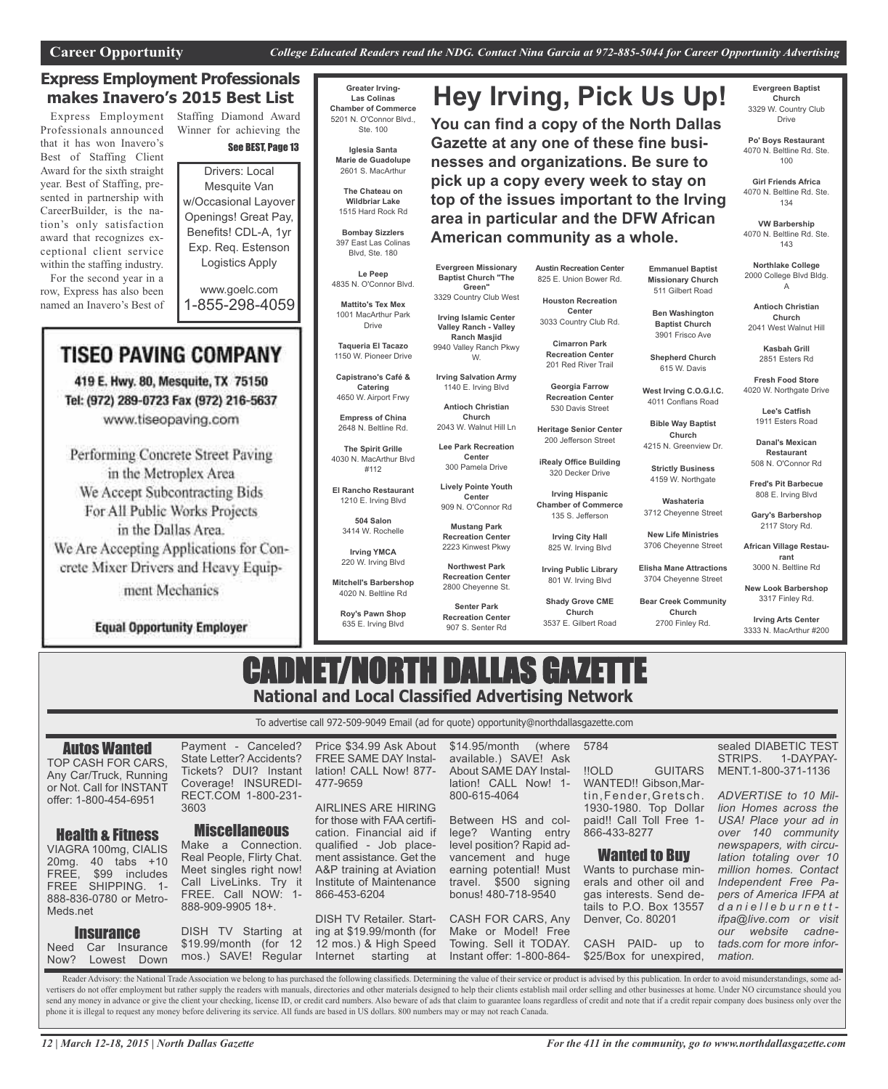**Hey Irving, Pick Us Up!**

**You can find a copy of the North Dallas Gazette at any one of these fine businesses and organizations. Be sure to pick up a copy every week to stay on top of the issues important to the Irving area in particular and the DFW African**

### **Express Employment Professionals makes Inavero's 2015 Best List**

Express Employment Professionals announced that it has won Inavero's Best of Staffing Client Award for the sixth straight year. Best of Staffing, presented in partnership with CareerBuilder, is the nation's only satisfaction award that recognizes exceptional client service within the staffing industry.

For the second year in a row, Express has also been named an Inavero's Best of

See BEST, Page 13 Drivers: Local Mesquite Van w/Occasional Layover Openings! Great Pay, Benefits! CDL-A, 1yr Exp. Req. Estenson Logistics Apply

Staffing Diamond Award Winner for achieving the

www.goelc.com 1-855-298-4059

### TISEO PAVING COMPANY

419 E. Hwy. 80, Mesquite, TX 75150 Tel: (972) 289-0723 Fax (972) 216-5637 www.tiseopaving.com

Performing Concrete Street Paving in the Metroplex Area We Accept Subcontracting Bids For All Public Works Projects in the Dallas Area. We Are Accepting Applications for Concrete Mixer Drivers and Heavy Equipment Mechanics

**Equal Opportunity Employer** 

#### **Greater Irving-Las Colinas Chamber of Commerce** 5201 N. O'Connor Blvd., Ste. 100

**Iglesia Santa Marie de Guadolupe** 2601 S. MacArthur

**The Chateau on Wildbriar Lake** 1515 Hard Rock Rd

**Bombay Sizzlers** 397 East Las Colinas Blvd, Ste. 180

**Le Peep** 4835 N. O'Connor Blvd.

**Mattito's Tex Mex** 1001 MacArthur Park Drive

**Taqueria El Tacazo** 1150 W. Pioneer Drive

**Capistrano's Café & Catering** 4650 W. Airport Frwy

**Empress of China** 2648 N. Beltline Rd.

**The Spirit Grille** 4030 N. MacArthur Blvd #112

**El Rancho Restaurant**

**504 Salon** 3414 W. Rochelle

1210 E. Irving Blvd

**Irving YMCA** 220 W. Irving Blvd

**Mitchell's Barbershop** 4020 N. Beltline Rd

**Roy's Pawn Shop** 635 E. Irving Blvd

**Austin Recreation Center** 825 E. Union Bower Rd.

**American community as a whole.**

**Center** 3033 Country Club Rd.

**Cimarron Park**

201 Red River Trail

530 Davis Street

200 Jefferson Street

320 Decker Drive

**Chamber of Commerce** 135 S. Jefferson

**Irving Public Library**

**Shady Grove CME Church**

**Recreation Center**

**Emmanuel Baptist Missionary Church** 511 Gilbert Road **Ben Washington Baptist Church** 3901 Frisco Ave

**Shepherd Church** 615 W. Davis **West Irving C.O.G.I.C.** 4011 Conflans Road **Bible Way Baptist Church** 4215 N. Greenview Dr.

**Strictly Business** 4159 W. Northgate **Washateria** 3712 Cheyenne Street **New Life Ministries** 3706 Cheyenne Street **Elisha Mane Attractions** 3704 Cheyenne Street **Bear Creek Community Church** 2700 Finley Rd.

**Georgia Farrow Recreation Center**

**Heritage Senior Center**

**iRealy Office Building**

**Irving Hispanic**

801 W. Irving Blvd

**Evergreen Baptist Church** 3329 W. Country Club Drive

**Po' Boys Restaurant** 4070 N. Beltline Rd. Ste. 100

**Girl Friends Africa** 4070 N. Beltline Rd. Ste. 134

**VW Barbership** 4070 N. Beltline Rd. Ste. 143

**Northlake College** 2000 College Blvd Bldg. A

**Antioch Christian Church** 2041 West Walnut Hill

**Kasbah Grill** 2851 Esters Rd

**Fresh Food Store** 4020 W. Northgate Drive

> **Lee's Catfish** 1911 Esters Road

**Danal's Mexican Restaurant** 508 N. O'Connor Rd

**Fred's Pit Barbecue** 808 E. Irving Blvd

**Gary's Barbershop** 2117 Story Rd.

**African Village Restaurant**

3000 N. Beltline Rd **New Look Barbershop**

3333 N. MacArthur #200

3317 Finley Rd. **Irving Arts Center**

### DNET/NORTH DALLAS GAZET **National and Local Classified Advertising Network**

To advertise call 972-509-9049 Email (ad for quote) opportunity@northdallasgazette.com

| <b>Autos Wanted</b><br>TOP CASH FOR CARS.<br>Any Car/Truck, Running                                                                                                                                                            | Payment - Canceled?<br>State Letter? Accidents?<br>Tickets? DUI? Instant<br>Coverage! INSUREDI- | Price \$34.99 Ask About<br>FREE SAME DAY Instal-<br>lation! CALL Now! 877-<br>477-9659 | $$14.95/m$ onth<br>(where)<br>available.) SAVE! Ask<br>About SAME DAY Instal-<br>lation! CALL Now! 1- | 5784<br>!!OLD<br><b>GUITARS</b><br>WANTED!! Gibson.Mar-                    | sealed DIABETIC TEST<br>STRIPS. 1-DAYPAY-<br>MENT.1-800-371-1136       |  |  |
|--------------------------------------------------------------------------------------------------------------------------------------------------------------------------------------------------------------------------------|-------------------------------------------------------------------------------------------------|----------------------------------------------------------------------------------------|-------------------------------------------------------------------------------------------------------|----------------------------------------------------------------------------|------------------------------------------------------------------------|--|--|
| or Not. Call for INSTANT<br>offer: 1-800-454-6951                                                                                                                                                                              | RECT.COM 1-800-231-<br>3603                                                                     | AIRLINES ARE HIRING<br>for those with FAA certifi-                                     | 800-615-4064<br>Between HS and col-                                                                   | tin, Fender, Gretsch.<br>1930-1980. Top Dollar<br>paid!! Call Toll Free 1- | ADVERTISE to 10 Mil-<br>lion Homes across the<br>USA! Place your ad in |  |  |
| <b>Health &amp; Fitness</b>                                                                                                                                                                                                    | <b>Miscellaneous</b>                                                                            | cation. Financial aid if                                                               | lege? Wanting entry                                                                                   | 866-433-8277                                                               | over 140 community                                                     |  |  |
| VIAGRA 100mg, CIALIS<br>20mg. 40 tabs +10                                                                                                                                                                                      | Make a Connection.<br>Real People, Flirty Chat.                                                 | qualified - Job place-<br>ment assistance. Get the                                     | level position? Rapid ad-<br>vancement and huge                                                       | <b>Wanted to Buy</b>                                                       | newspapers, with circu-<br>lation totaling over 10                     |  |  |
| FREE, \$99 includes                                                                                                                                                                                                            | Meet singles right now!                                                                         | A&P training at Aviation                                                               | earning potential! Must                                                                               | Wants to purchase min-                                                     | million homes. Contact                                                 |  |  |
| FREE SHIPPING. 1-<br>888-836-0780 or Metro-                                                                                                                                                                                    | Call LiveLinks. Try it<br>FREE. Call NOW: 1-                                                    | Institute of Maintenance<br>866-453-6204                                               | travel. \$500 signing<br>bonus! 480-718-9540                                                          | erals and other oil and<br>gas interests. Send de-                         | Independent Free Pa-<br>pers of America IFPA at                        |  |  |
| Meds.net                                                                                                                                                                                                                       | 888-909-9905 18+.                                                                               | <b>DISH TV Retailer. Start-</b>                                                        | CASH FOR CARS, Any                                                                                    | tails to P.O. Box 13557<br>Denver, Co. 80201                               | danielleburnett-<br><i>ifpa@live.com or visit</i>                      |  |  |
| <b>Insurance</b>                                                                                                                                                                                                               | DISH TV Starting at                                                                             | ing at \$19.99/month (for                                                              | Make or Model! Free                                                                                   |                                                                            | our website cadne-                                                     |  |  |
| Car Insurance<br>Need<br>Lowest Down<br>Now?                                                                                                                                                                                   | \$19.99/month (for 12<br>mos.) SAVE! Regular                                                    | 12 mos.) & High Speed<br>Internet starting<br>at                                       | Towing. Sell it TODAY.<br>Instant offer: 1-800-864-                                                   | CASH PAID- up to<br>\$25/Box for unexpired,                                | tads.com for more infor-<br><i>mation.</i>                             |  |  |
| Reader Advisory: the National Trade Association we belong to has purchased the following classifieds. Determining the value of their service or product is advised by this publication. In order to avoid misunderstandings, s |                                                                                                 |                                                                                        |                                                                                                       |                                                                            |                                                                        |  |  |

Reader Advisory: the National Trade Association we belong to has purchased the following classifieds. Determining the value of their service or product is advised by this publication. In order to avoid misunderstandings, s vertisers do not offer employment but rather supply the readers with manuals, directories and other materials designed to help their clients establish mail order selling and other businesses at home. Under NO circumstance send any money in advance or give the client your checking, license ID, or credit card numbers. Also beware of ads that claim to guarantee loans regardless of credit and note that if a credit repair company does business o phone it is illegal to request any money before delivering its service. All funds are based in US dollars. 800 numbers may or may not reach Canada.

**Recreation Center** 907 S. Senter Rd

**Lee Park Recreation Center** 300 Pamela Drive **Lively Pointe Youth Center** 909 N. O'Connor Rd

> **Mustang Park** 2223 Kinwest Pkwy

**Recreation Center**

**Senter Park**

**Baptist Church "The Green"** 3329 Country Club West **Irving Islamic Center Valley Ranch - Valley Ranch Masjid Houston Recreation**

W. **Irving Salvation Army**

1140 E. Irving Blvd **Antioch Christian**

**Church** 2043 W. Walnut Hill Ln

**Evergreen Missionary**

**Recreation Center**

**Northwest Park**

2800 Cheyenne St.

9940 Valley Ranch Pkwy

**Irving City Hall**

3537 E. Gilbert Road

825 W. Irving Blvd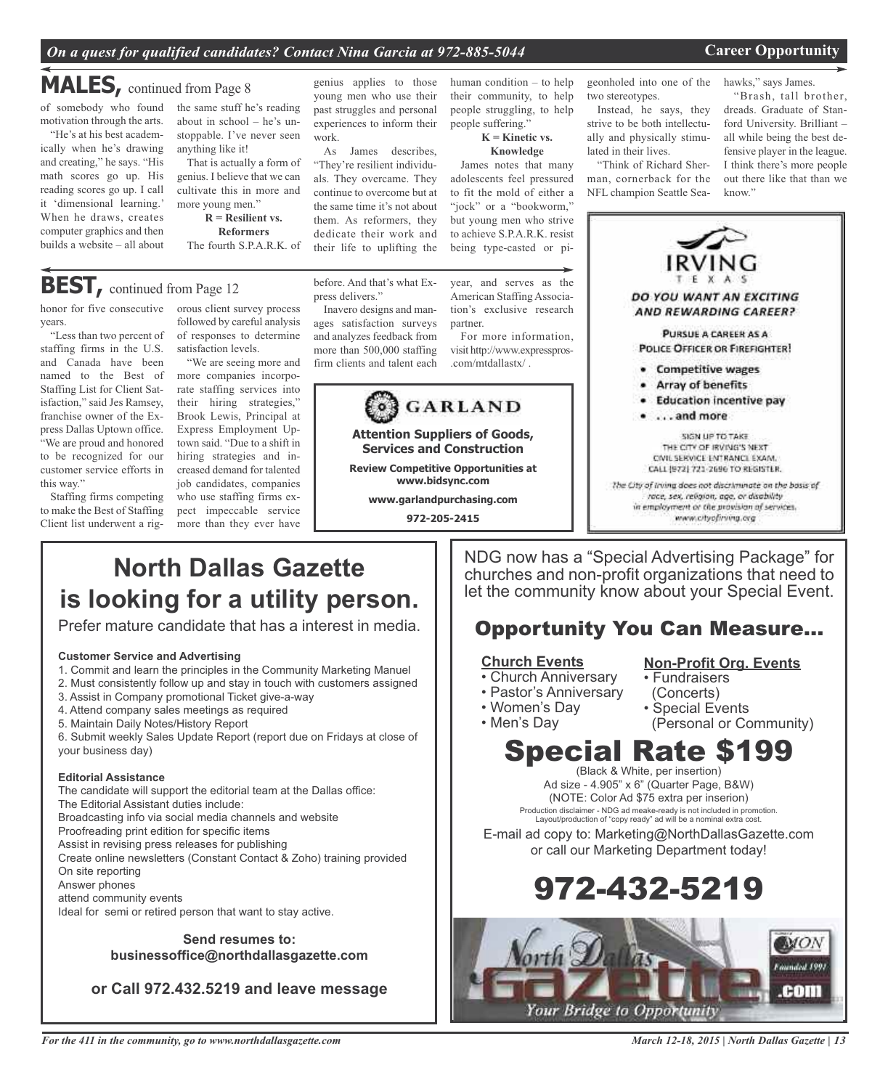### *On a quest for qualified candidates? Contact Nina Garcia at 972-885-5044* **Career Opportunity**

### **MALES,** continued from Page <sup>8</sup>

of somebody who found motivation through the arts.

"He's at his best academically when he's drawing and creating," he says. "His math scores go up. His reading scores go up. I call it 'dimensional learning.' When he draws, creates computer graphics and then builds a website – all about the same stuff he's reading about in school – he's unstoppable. I've never seen anything like it!

That is actually a form of genius. I believe that we can cultivate this in more and more young men."

**R = Resilient vs. Reformers**

The fourth S.P.A.R.K. of

## **BEST**, continued from Page 12

years.

"Less than two percent of staffing firms in the U.S. and Canada have been named to the Best of Staffing List for Client Satisfaction," said Jes Ramsey, franchise owner of the Express Dallas Uptown office. "We are proud and honored to be recognized for our customer service efforts in this way."

Staffing firms competing to make the Best of Staffing Client list underwent a rig-

your business day)

On site reporting Answer phones

attend community events

**Editorial Assistance**

**Customer Service and Advertising**

5. Maintain Daily Notes/History Report

The Editorial Assistant duties include:

Proofreading print edition for specific items Assist in revising press releases for publishing

3. Assist in Company promotional Ticket give-a-way 4. Attend company sales meetings as required

honor for five consecutive orous client survey process followed by careful analysis of responses to determine satisfaction levels.

> "We are seeing more and more companies incorporate staffing services into their hiring strategies," Brook Lewis, Principal at Express Employment Uptown said. "Due to a shift in hiring strategies and increased demand for talented job candidates, companies who use staffing firms expect impeccable service more than they ever have

**North Dallas Gazette**

**is looking for a utility person.**

Prefer mature candidate that has a interest in media.

1. Commit and learn the principles in the Community Marketing Manuel 2. Must consistently follow up and stay in touch with customers assigned

6. Submit weekly Sales Update Report (report due on Fridays at close of

The candidate will support the editorial team at the Dallas office:

Create online newsletters (Constant Contact & Zoho) training provided

**Send resumes to: businessoffice@northdallasgazette.com**

**or Call 972.432.5219 and leave message**

Broadcasting info via social media channels and website

Ideal for semi or retired person that want to stay active.

genius applies to those young men who use their past struggles and personal experiences to inform their work.

As James describes, "They're resilient individuals. They overcame. They continue to overcome but at the same time it's not about them. As reformers, they dedicate their work and their life to uplifting the

before. And that's what Express delivers."

Inavero designs and manages satisfaction surveys and analyzes feedback from more than 500,000 staffing firm clients and talent each



**Attention Suppliers of Goods, Services and Construction**

**Review Competitive Opportunities at www.bidsync.com**

**www.garlandpurchasing.com 972-205-2415**

human condition – to help their community, to help people struggling, to help people suffering."

> **K = Kinetic vs. Knowledge**

James notes that many adolescents feel pressured to fit the mold of either a "jock" or a "bookworm," but young men who strive to achieve S.P.A.R.K. resist being type-casted or pi-

year, and serves as the American Staffing Association's exclusive research partner.

For more information, visit http://www.expresspros- .com/mtdallastx/ .

geonholed into one of the two stereotypes.

Instead, he says, they strive to be both intellectually and physically stimulated in their lives.

"Think of Richard Sherman, cornerback for the NFL champion Seattle Seahawks," says James.

"Brash, tall brother, dreads. Graduate of Stanford University. Brilliant – all while being the best defensive player in the league. I think there's more people out there like that than we know."



NDG now has a "Special Advertising Package" for churches and non-profit organizations that need to let the community know about your Special Event.

### Opportunity You Can Measure...

### **Church Events**

**Non-Profit Org. Events**

- Church Anniversary • Fundraisers (Concerts)
- Pastor's Anniversary
- Women's Day • Men's Day
- Special Events (Personal or Community)

## Special Rate \$199

(Black & White, per insertion) Ad size - 4.905" x 6" (Quarter Page, B&W) (NOTE: Color Ad \$75 extra per inserion) Production disclaimer - NDG ad meake-ready is not included in promotion.

Layout/production of "copy ready" ad will be a nominal extra cost. E-mail ad copy to: Marketing@NorthDallasGazette.com or call our Marketing Department today!



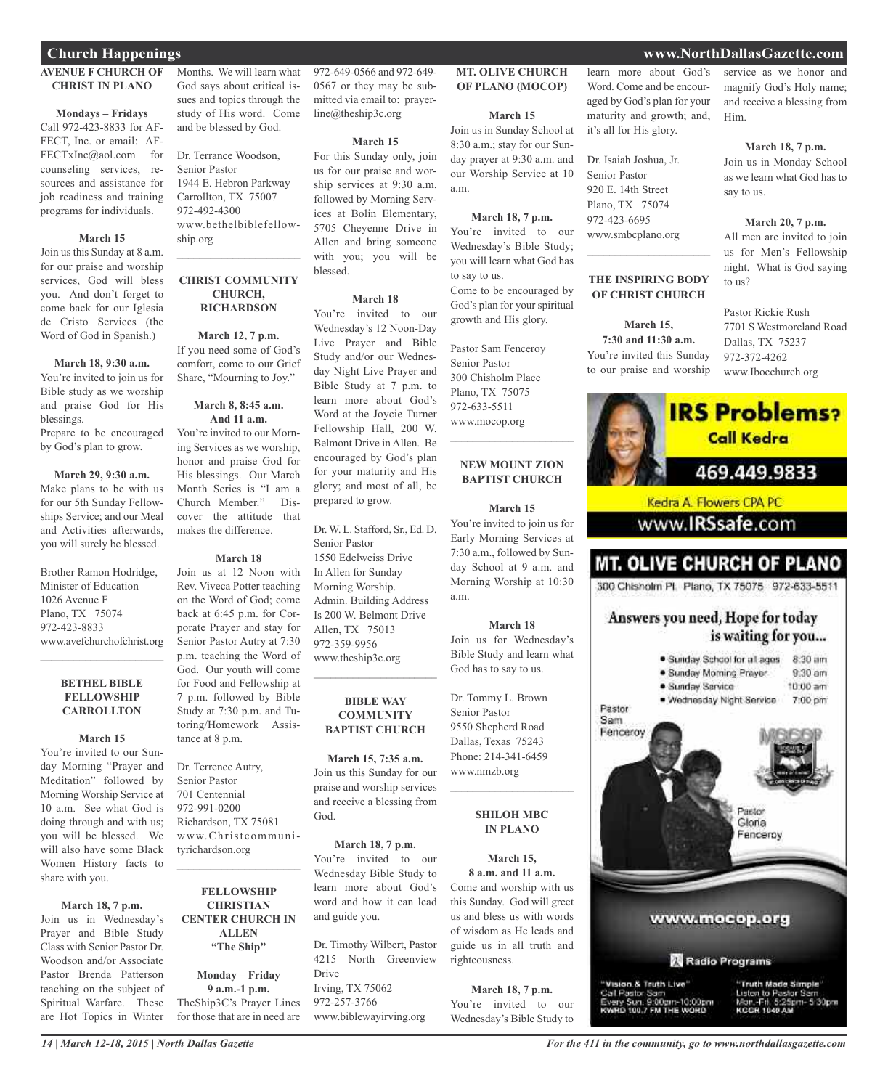### **AVENUE F CHURCH OF CHRIST IN PLANO**

#### **Mondays – Fridays**

Call 972-423-8833 for AF-FECT, Inc. or email: AF-FECTxInc@aol.com for counseling services, resources and assistance for job readiness and training programs for individuals.

### **March 15**

Join us this Sunday at 8 a.m. for our praise and worship services, God will bless you. And don't forget to come back for our Iglesia de Cristo Services (the Word of God in Spanish.)

### **March 18, 9:30 a.m.**

You're invited to join us for Bible study as we worship and praise God for His blessings.

Prepare to be encouraged by God's plan to grow.

#### **March 29, 9:30 a.m.**

Make plans to be with us for our 5th Sunday Fellowships Service; and our Meal and Activities afterwards, you will surely be blessed.

Brother Ramon Hodridge, Minister of Education 1026 Avenue F Plano, TX 75074 972-423-8833 www.avefchurchofchrist.org

### **BETHEL BIBLE FELLOWSHIP CARROLLTON**

 $\mathcal{L}_\text{max}$  and  $\mathcal{L}_\text{max}$  and  $\mathcal{L}_\text{max}$ 

### **March 15**

You're invited to our Sunday Morning "Prayer and Meditation" followed by Morning Worship Service at 10 a.m. See what God is doing through and with us; you will be blessed. We will also have some Black Women History facts to share with you.

#### **March 18, 7 p.m.**

Join us in Wednesday's Prayer and Bible Study Class with Senior Pastor Dr. Woodson and/or Associate Pastor Brenda Patterson teaching on the subject of Spiritual Warfare. These are Hot Topics in Winter

Months. We will learn what God says about critical issues and topics through the study of His word. Come and be blessed by God.

Dr. Terrance Woodson, Senior Pastor 1944 E. Hebron Parkway Carrollton, TX 75007 972-492-4300 www.bethelbiblefellowship.org  $\mathcal{L}_\text{max}$  , which is a set of the set of the set of the set of the set of the set of the set of the set of the set of the set of the set of the set of the set of the set of the set of the set of the set of the set of

### **CHRIST COMMUNITY CHURCH, RICHARDSON**

**March 12, 7 p.m.** If you need some of God's comfort, come to our Grief Share, "Mourning to Joy."

### **March 8, 8:45 a.m. And 11 a.m.**

You're invited to our Morning Services as we worship, honor and praise God for His blessings. Our March Month Series is "I am a Church Member." Discover the attitude that makes the difference.

### **March 18**

Join us at 12 Noon with Rev. Viveca Potter teaching on the Word of God; come back at 6:45 p.m. for Corporate Prayer and stay for Senior Pastor Autry at 7:30 p.m. teaching the Word of God. Our youth will come for Food and Fellowship at 7 p.m. followed by Bible Study at 7:30 p.m. and Tutoring/Homework Assistance at 8 p.m.

Dr. Terrence Autry, Senior Pastor 701 Centennial 972-991-0200 Richardson, TX 75081 www.Christcommunityrichardson.org

### **FELLOWSHIP CHRISTIAN CENTER CHURCH IN ALLEN "The Ship"**

 $\mathcal{L}_\text{max}$  , which is a set of the set of the set of the set of the set of the set of the set of the set of the set of the set of the set of the set of the set of the set of the set of the set of the set of the set of

**Monday – Friday 9 a.m.-1 p.m.** TheShip3C's Prayer Lines for those that are in need are

972-649-0566 and 972-649- 0567 or they may be submitted via email to: prayerline@theship3c.org

### **March 15**

For this Sunday only, join us for our praise and worship services at 9:30 a.m. followed by Morning Services at Bolin Elementary, 5705 Cheyenne Drive in Allen and bring someone with you; you will be blessed.

### **March 18**

You're invited to our Wednesday's 12 Noon-Day Live Prayer and Bible Study and/or our Wednesday Night Live Prayer and Bible Study at 7 p.m. to learn more about God's Word at the Joycie Turner Fellowship Hall, 200 W. Belmont Drive in Allen. Be encouraged by God's plan for your maturity and His glory; and most of all, be prepared to grow.

Dr.W. L. Stafford, Sr., Ed. D. Senior Pastor 1550 Edelweiss Drive In Allen for Sunday Morning Worship. Admin. Building Address Is 200 W. Belmont Drive Allen, TX 75013 972-359-9956 www.theship3c.org

### **BIBLE WAY COMMUNITY BAPTIST CHURCH**

 $\mathcal{L}=\mathcal{L}^{\mathcal{L}}$  , where  $\mathcal{L}^{\mathcal{L}}$  , we have the set of the set of the set of the set of the set of the set of the set of the set of the set of the set of the set of the set of the set of the set of the set of

**March 15, 7:35 a.m.** Join us this Sunday for our praise and worship services and receive a blessing from God.

**March 18, 7 p.m.** You're invited to our Wednesday Bible Study to learn more about God's word and how it can lead and guide you.

Dr. Timothy Wilbert, Pastor 4215 North Greenview Drive Irving, TX 75062 972-257-3766 www.biblewayirving.org

### **MT. OLIVE CHURCH OF PLANO (MOCOP) March 15**

Join us in Sunday School at 8:30 a.m.; stay for our Sunday prayer at 9:30 a.m. and our Worship Service at 10 a.m.

### **March 18, 7 p.m.**

You're invited to our Wednesday's Bible Study; you will learn what God has to say to us. Come to be encouraged by God's plan for your spiritual growth and His glory.

Pastor Sam Fenceroy Senior Pastor 300 Chisholm Place Plano, TX 75075 972-633-5511 www.mocop.org  $\mathcal{L}=\mathcal{L}^{\mathcal{L}}$  , where  $\mathcal{L}^{\mathcal{L}}$  , we have the set of the set of the set of the set of the set of the set of the set of the set of the set of the set of the set of the set of the set of the set of the set of

### **NEW MOUNT ZION BAPTIST CHURCH**

**March 15** You're invited to join us for Early Morning Services at 7:30 a.m., followed by Sunday School at 9 a.m. and Morning Worship at 10:30 a.m.

**March 18** Join us for Wednesday's Bible Study and learn what God has to say to us.

Dr. Tommy L. Brown Senior Pastor 9550 Shepherd Road Dallas, Texas 75243 Phone: 214-341-6459 www.nmzb.org

#### **SHILOH MBC IN PLANO**

 $\mathcal{L}=\mathcal{L}^{\mathcal{L}}$  , where  $\mathcal{L}^{\mathcal{L}}$  , we have the set of the set of the set of the set of the set of the set of the set of the set of the set of the set of the set of the set of the set of the set of the set of

**March 15, 8 a.m. and 11 a.m.** Come and worship with us this Sunday. God will greet us and bless us with words of wisdom as He leads and guide us in all truth and righteousness.

**March 18, 7 p.m.** You're invited to our Wednesday's Bible Study to

learn more about God's Word. Come and be encouraged by God's plan for your maturity and growth; and, it's all for His glory.

Dr. Isaiah Joshua, Jr. Senior Pastor 920 E. 14th Street Plano, TX 75074 972-423-6695 www.smbcplano.org

### **THE INSPIRING BODY OF CHRIST CHURCH**

 $\mathcal{L}_\text{max}$  , which is a set of the set of the set of the set of the set of the set of the set of the set of the set of the set of the set of the set of the set of the set of the set of the set of the set of the set of

**March 15, 7:30 and 11:30 a.m.** You're invited this Sunday to our praise and worship service as we honor and magnify God's Holy name; and receive a blessing from Him.

### **March 18, 7 p.m.**

Join us in Monday School as we learn what God has to say to us.

**March 20, 7 p.m.** All men are invited to join us for Men's Fellowship night. What is God saying to us?

Pastor Rickie Rush 7701 S Westmoreland Road Dallas, TX 75237 972-372-4262 www.Ibocchurch.org

**IRS Problems?** 



Radio Programs

"Vision.& Truth Live" Call Pastor Sam<br>Every Sun: 9:00pm-10:00pm<br>KWRD 100.7 FM THE WORD

### **Church Happenings www.NorthDallasGazette.com**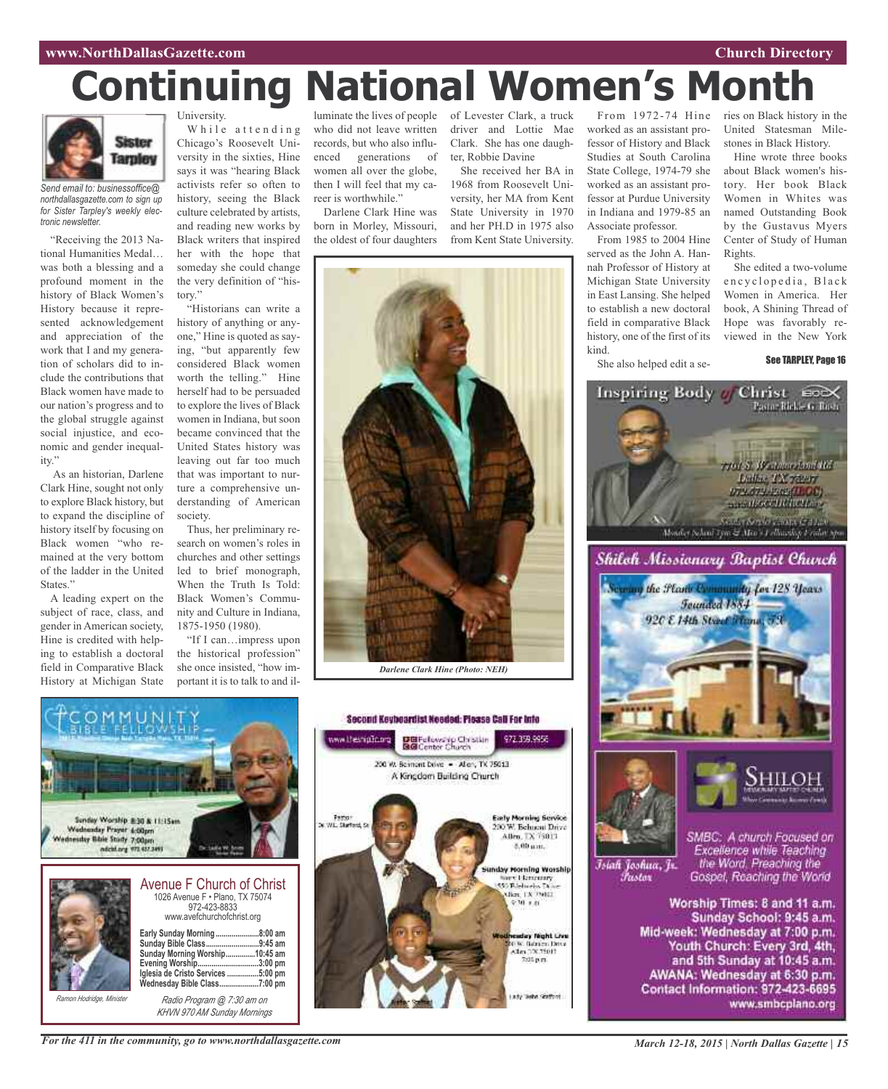# **Continuing National Women's Month**



*Send email to: businessoffice@ northdallasgazette.com to sign up for Sister Tarpley's weekly electronic newsletter.*

"Receiving the 2013 National Humanities Medal… was both a blessing and a profound moment in the history of Black Women's History because it represented acknowledgement and appreciation of the work that I and my generation of scholars did to include the contributions that Black women have made to our nation's progress and to the global struggle against social injustice, and economic and gender inequality."

As an historian, Darlene Clark Hine, sought not only to explore Black history, but to expand the discipline of history itself by focusing on Black women "who remained at the very bottom of the ladder in the United States."

A leading expert on the subject of race, class, and gender in American society, Hine is credited with helping to establish a doctoral field in Comparative Black History at Michigan State

University.

While attending Chicago's Roosevelt University in the sixties, Hine says it was "hearing Black activists refer so often to history, seeing the Black culture celebrated by artists, and reading new works by Black writers that inspired her with the hope that someday she could change the very definition of "history."

"Historians can write a history of anything or anyone," Hine is quoted as saying, "but apparently few considered Black women worth the telling." Hine herself had to be persuaded to explore the lives of Black women in Indiana, but soon became convinced that the United States history was leaving out far too much that was important to nurture a comprehensive understanding of American society.

Thus, her preliminary research on women's roles in churches and other settings led to brief monograph, When the Truth Is Told: Black Women's Community and Culture in Indiana, 1875-1950 (1980).

"If I can…impress upon the historical profession" she once insisted, "how important it is to talk to and il-

luminate the lives of people who did not leave written records, but who also influenced generations of women all over the globe, then I will feel that my career is worthwhile."

Darlene Clark Hine was born in Morley, Missouri, the oldest of four daughters

of Levester Clark, a truck driver and Lottie Mae Clark. She has one daughter, Robbie Davine

She received her BA in 1968 from Roosevelt University, her MA from Kent State University in 1970 and her PH.D in 1975 also from Kent State University.



*Darlene Clark Hine (Photo: NEH)*



Second Keybeardist Needed: Please Call For Info www.lhesnipTo.org DBFelowskip Christian<br>BGConter Church 972.359.9955 200 W. Bernont Dove - Aller, TX 75013 A Kingdom Building Church **Early Morning Service** Pastor<br>W.L. Starford, S 200 W. Behueni Drive Allen, IX 75013 8.00 um. unday Morning Worship<br>Sure Licenseary<br>SSS Elefucios Diaco<br>Silon, LX 20011  $970.88$ day Night Live 0 W. Banten Drive<br>Alm (1967501) 7:05 p.m.



worked as an assistant professor of History and Black Studies at South Carolina State College, 1974-79 she worked as an assistant professor at Purdue University in Indiana and 1979-85 an

From 1972-74 Hine

From 1985 to 2004 Hine served as the John A. Hannah Professor of History at Michigan State University in East Lansing. She helped to establish a new doctoral field in comparative Black history, one of the first of its kind.

She also helped edit a se-

ries on Black history in the United Statesman Milestones in Black History.

Hine wrote three books about Black women's history. Her book Black Women in Whites was named Outstanding Book by the Gustavus Myers Center of Study of Human Rights.

She edited a two-volume encyclopedia, Black Women in America. Her book, A Shining Thread of Hope was favorably reviewed in the New York

See TARPLEY, Page 16



Islah Joshua, Jr. *Pustar* 

SMBC: A church Focused on Excellence while Teaching<br>the Word, Preaching the Gospel, Reaching the World

Worship Times: 8 and 11 a.m. Sunday School: 9:45 a.m. Mid-week: Wednesday at 7:00 p.m. Youth Church: Every 3rd, 4th, and 5th Sunday at 10:45 a.m. AWANA: Wednesday at 6:30 p.m. Contact Information: 972-423-6695 www.smbcplano.org

*For the 411 in the community, go to www.northdallasgazette.com*